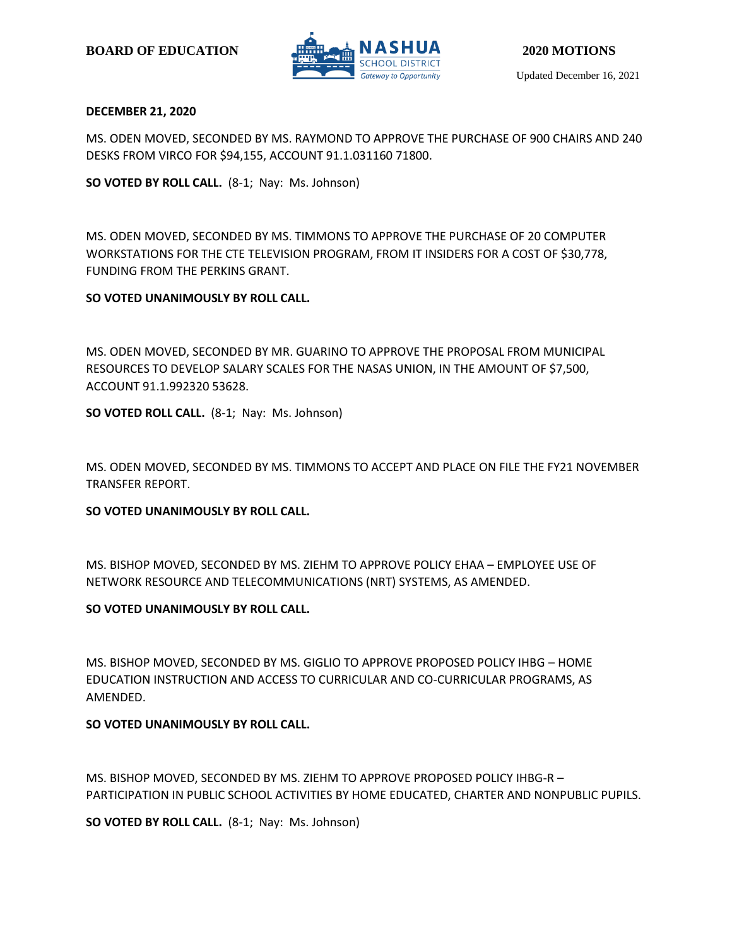

#### **DECEMBER 21, 2020**

MS. ODEN MOVED, SECONDED BY MS. RAYMOND TO APPROVE THE PURCHASE OF 900 CHAIRS AND 240 DESKS FROM VIRCO FOR \$94,155, ACCOUNT 91.1.031160 71800.

**SO VOTED BY ROLL CALL.** (8-1; Nay: Ms. Johnson)

MS. ODEN MOVED, SECONDED BY MS. TIMMONS TO APPROVE THE PURCHASE OF 20 COMPUTER WORKSTATIONS FOR THE CTE TELEVISION PROGRAM, FROM IT INSIDERS FOR A COST OF \$30,778, FUNDING FROM THE PERKINS GRANT.

#### **SO VOTED UNANIMOUSLY BY ROLL CALL.**

MS. ODEN MOVED, SECONDED BY MR. GUARINO TO APPROVE THE PROPOSAL FROM MUNICIPAL RESOURCES TO DEVELOP SALARY SCALES FOR THE NASAS UNION, IN THE AMOUNT OF \$7,500, ACCOUNT 91.1.992320 53628.

**SO VOTED ROLL CALL.** (8-1; Nay: Ms. Johnson)

MS. ODEN MOVED, SECONDED BY MS. TIMMONS TO ACCEPT AND PLACE ON FILE THE FY21 NOVEMBER TRANSFER REPORT.

#### **SO VOTED UNANIMOUSLY BY ROLL CALL.**

MS. BISHOP MOVED, SECONDED BY MS. ZIEHM TO APPROVE POLICY EHAA – EMPLOYEE USE OF NETWORK RESOURCE AND TELECOMMUNICATIONS (NRT) SYSTEMS, AS AMENDED.

# **SO VOTED UNANIMOUSLY BY ROLL CALL.**

MS. BISHOP MOVED, SECONDED BY MS. GIGLIO TO APPROVE PROPOSED POLICY IHBG – HOME EDUCATION INSTRUCTION AND ACCESS TO CURRICULAR AND CO-CURRICULAR PROGRAMS, AS AMENDED.

# **SO VOTED UNANIMOUSLY BY ROLL CALL.**

MS. BISHOP MOVED, SECONDED BY MS. ZIEHM TO APPROVE PROPOSED POLICY IHBG-R – PARTICIPATION IN PUBLIC SCHOOL ACTIVITIES BY HOME EDUCATED, CHARTER AND NONPUBLIC PUPILS.

**SO VOTED BY ROLL CALL.** (8-1; Nay: Ms. Johnson)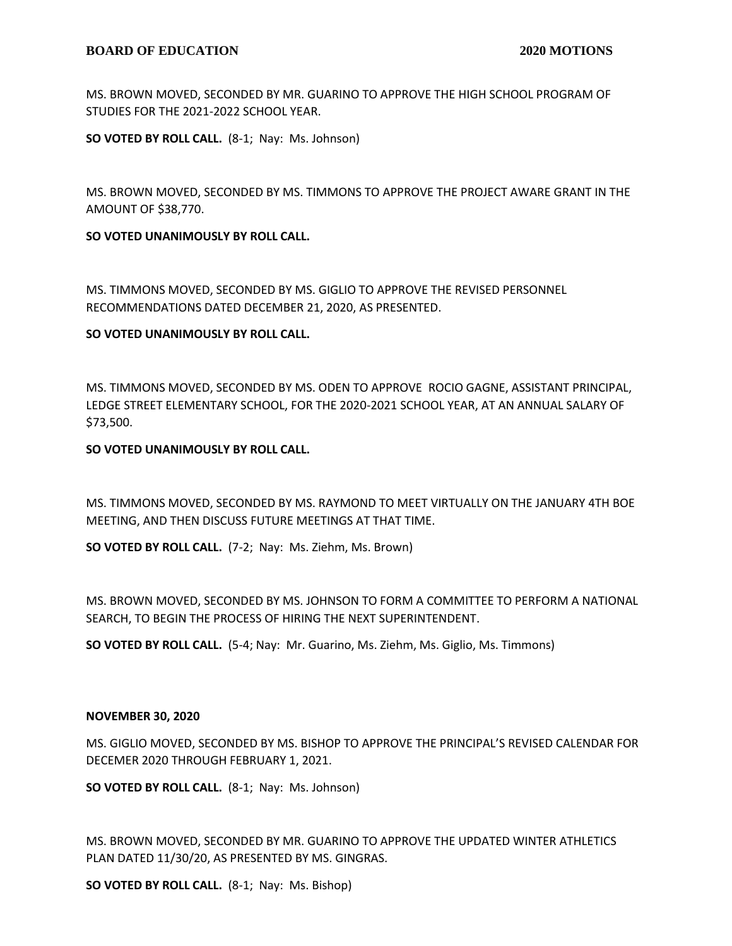MS. BROWN MOVED, SECONDED BY MR. GUARINO TO APPROVE THE HIGH SCHOOL PROGRAM OF STUDIES FOR THE 2021-2022 SCHOOL YEAR.

**SO VOTED BY ROLL CALL.** (8-1; Nay: Ms. Johnson)

MS. BROWN MOVED, SECONDED BY MS. TIMMONS TO APPROVE THE PROJECT AWARE GRANT IN THE AMOUNT OF \$38,770.

**SO VOTED UNANIMOUSLY BY ROLL CALL.**

MS. TIMMONS MOVED, SECONDED BY MS. GIGLIO TO APPROVE THE REVISED PERSONNEL RECOMMENDATIONS DATED DECEMBER 21, 2020, AS PRESENTED.

#### **SO VOTED UNANIMOUSLY BY ROLL CALL.**

MS. TIMMONS MOVED, SECONDED BY MS. ODEN TO APPROVE ROCIO GAGNE, ASSISTANT PRINCIPAL, LEDGE STREET ELEMENTARY SCHOOL, FOR THE 2020-2021 SCHOOL YEAR, AT AN ANNUAL SALARY OF \$73,500.

#### **SO VOTED UNANIMOUSLY BY ROLL CALL.**

MS. TIMMONS MOVED, SECONDED BY MS. RAYMOND TO MEET VIRTUALLY ON THE JANUARY 4TH BOE MEETING, AND THEN DISCUSS FUTURE MEETINGS AT THAT TIME.

**SO VOTED BY ROLL CALL.** (7-2; Nay: Ms. Ziehm, Ms. Brown)

MS. BROWN MOVED, SECONDED BY MS. JOHNSON TO FORM A COMMITTEE TO PERFORM A NATIONAL SEARCH, TO BEGIN THE PROCESS OF HIRING THE NEXT SUPERINTENDENT.

**SO VOTED BY ROLL CALL.** (5-4; Nay: Mr. Guarino, Ms. Ziehm, Ms. Giglio, Ms. Timmons)

#### **NOVEMBER 30, 2020**

MS. GIGLIO MOVED, SECONDED BY MS. BISHOP TO APPROVE THE PRINCIPAL'S REVISED CALENDAR FOR DECEMER 2020 THROUGH FEBRUARY 1, 2021.

**SO VOTED BY ROLL CALL.** (8-1; Nay: Ms. Johnson)

MS. BROWN MOVED, SECONDED BY MR. GUARINO TO APPROVE THE UPDATED WINTER ATHLETICS PLAN DATED 11/30/20, AS PRESENTED BY MS. GINGRAS.

**SO VOTED BY ROLL CALL.** (8-1; Nay: Ms. Bishop)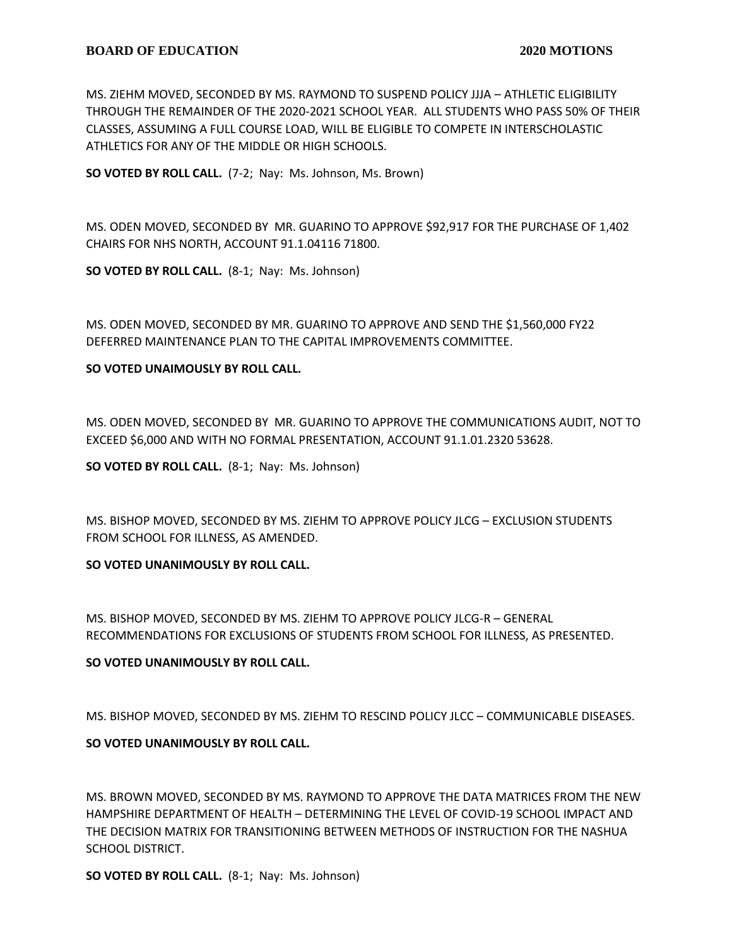MS. ZIEHM MOVED, SECONDED BY MS. RAYMOND TO SUSPEND POLICY JJJA – ATHLETIC ELIGIBILITY THROUGH THE REMAINDER OF THE 2020-2021 SCHOOL YEAR. ALL STUDENTS WHO PASS 50% OF THEIR CLASSES, ASSUMING A FULL COURSE LOAD, WILL BE ELIGIBLE TO COMPETE IN INTERSCHOLASTIC ATHLETICS FOR ANY OF THE MIDDLE OR HIGH SCHOOLS.

**SO VOTED BY ROLL CALL.** (7-2; Nay: Ms. Johnson, Ms. Brown)

MS. ODEN MOVED, SECONDED BY MR. GUARINO TO APPROVE \$92,917 FOR THE PURCHASE OF 1,402 CHAIRS FOR NHS NORTH, ACCOUNT 91.1.04116 71800.

**SO VOTED BY ROLL CALL.** (8-1; Nay: Ms. Johnson)

MS. ODEN MOVED, SECONDED BY MR. GUARINO TO APPROVE AND SEND THE \$1,560,000 FY22 DEFERRED MAINTENANCE PLAN TO THE CAPITAL IMPROVEMENTS COMMITTEE.

# **SO VOTED UNAIMOUSLY BY ROLL CALL.**

MS. ODEN MOVED, SECONDED BY MR. GUARINO TO APPROVE THE COMMUNICATIONS AUDIT, NOT TO EXCEED \$6,000 AND WITH NO FORMAL PRESENTATION, ACCOUNT 91.1.01.2320 53628.

**SO VOTED BY ROLL CALL.** (8-1; Nay: Ms. Johnson)

MS. BISHOP MOVED, SECONDED BY MS. ZIEHM TO APPROVE POLICY JLCG – EXCLUSION STUDENTS FROM SCHOOL FOR ILLNESS, AS AMENDED.

# **SO VOTED UNANIMOUSLY BY ROLL CALL.**

MS. BISHOP MOVED, SECONDED BY MS. ZIEHM TO APPROVE POLICY JLCG-R – GENERAL RECOMMENDATIONS FOR EXCLUSIONS OF STUDENTS FROM SCHOOL FOR ILLNESS, AS PRESENTED.

# **SO VOTED UNANIMOUSLY BY ROLL CALL.**

MS. BISHOP MOVED, SECONDED BY MS. ZIEHM TO RESCIND POLICY JLCC – COMMUNICABLE DISEASES.

# **SO VOTED UNANIMOUSLY BY ROLL CALL.**

MS. BROWN MOVED, SECONDED BY MS. RAYMOND TO APPROVE THE DATA MATRICES FROM THE NEW HAMPSHIRE DEPARTMENT OF HEALTH – DETERMINING THE LEVEL OF COVID-19 SCHOOL IMPACT AND THE DECISION MATRIX FOR TRANSITIONING BETWEEN METHODS OF INSTRUCTION FOR THE NASHUA SCHOOL DISTRICT.

**SO VOTED BY ROLL CALL.** (8-1; Nay: Ms. Johnson)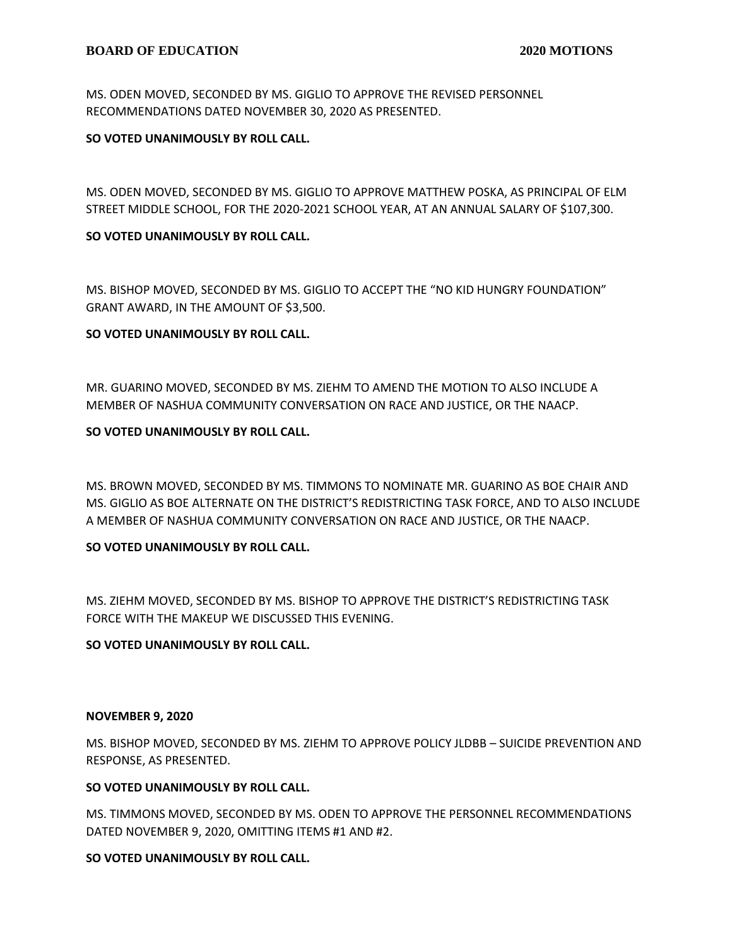MS. ODEN MOVED, SECONDED BY MS. GIGLIO TO APPROVE THE REVISED PERSONNEL RECOMMENDATIONS DATED NOVEMBER 30, 2020 AS PRESENTED.

# **SO VOTED UNANIMOUSLY BY ROLL CALL.**

MS. ODEN MOVED, SECONDED BY MS. GIGLIO TO APPROVE MATTHEW POSKA, AS PRINCIPAL OF ELM STREET MIDDLE SCHOOL, FOR THE 2020-2021 SCHOOL YEAR, AT AN ANNUAL SALARY OF \$107,300.

# **SO VOTED UNANIMOUSLY BY ROLL CALL.**

MS. BISHOP MOVED, SECONDED BY MS. GIGLIO TO ACCEPT THE "NO KID HUNGRY FOUNDATION" GRANT AWARD, IN THE AMOUNT OF \$3,500.

# **SO VOTED UNANIMOUSLY BY ROLL CALL.**

MR. GUARINO MOVED, SECONDED BY MS. ZIEHM TO AMEND THE MOTION TO ALSO INCLUDE A MEMBER OF NASHUA COMMUNITY CONVERSATION ON RACE AND JUSTICE, OR THE NAACP.

# **SO VOTED UNANIMOUSLY BY ROLL CALL.**

MS. BROWN MOVED, SECONDED BY MS. TIMMONS TO NOMINATE MR. GUARINO AS BOE CHAIR AND MS. GIGLIO AS BOE ALTERNATE ON THE DISTRICT'S REDISTRICTING TASK FORCE, AND TO ALSO INCLUDE A MEMBER OF NASHUA COMMUNITY CONVERSATION ON RACE AND JUSTICE, OR THE NAACP.

# **SO VOTED UNANIMOUSLY BY ROLL CALL.**

MS. ZIEHM MOVED, SECONDED BY MS. BISHOP TO APPROVE THE DISTRICT'S REDISTRICTING TASK FORCE WITH THE MAKEUP WE DISCUSSED THIS EVENING.

# **SO VOTED UNANIMOUSLY BY ROLL CALL.**

# **NOVEMBER 9, 2020**

MS. BISHOP MOVED, SECONDED BY MS. ZIEHM TO APPROVE POLICY JLDBB – SUICIDE PREVENTION AND RESPONSE, AS PRESENTED.

# **SO VOTED UNANIMOUSLY BY ROLL CALL.**

MS. TIMMONS MOVED, SECONDED BY MS. ODEN TO APPROVE THE PERSONNEL RECOMMENDATIONS DATED NOVEMBER 9, 2020, OMITTING ITEMS #1 AND #2.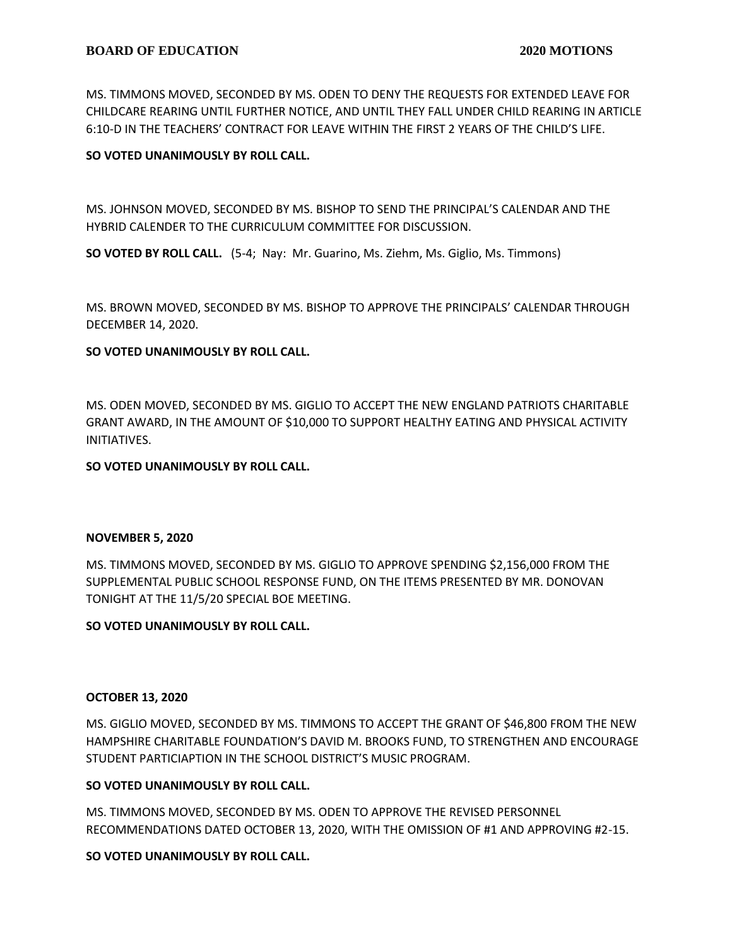MS. TIMMONS MOVED, SECONDED BY MS. ODEN TO DENY THE REQUESTS FOR EXTENDED LEAVE FOR CHILDCARE REARING UNTIL FURTHER NOTICE, AND UNTIL THEY FALL UNDER CHILD REARING IN ARTICLE 6:10-D IN THE TEACHERS' CONTRACT FOR LEAVE WITHIN THE FIRST 2 YEARS OF THE CHILD'S LIFE.

# **SO VOTED UNANIMOUSLY BY ROLL CALL.**

MS. JOHNSON MOVED, SECONDED BY MS. BISHOP TO SEND THE PRINCIPAL'S CALENDAR AND THE HYBRID CALENDER TO THE CURRICULUM COMMITTEE FOR DISCUSSION.

**SO VOTED BY ROLL CALL.** (5-4; Nay: Mr. Guarino, Ms. Ziehm, Ms. Giglio, Ms. Timmons)

MS. BROWN MOVED, SECONDED BY MS. BISHOP TO APPROVE THE PRINCIPALS' CALENDAR THROUGH DECEMBER 14, 2020.

#### **SO VOTED UNANIMOUSLY BY ROLL CALL.**

MS. ODEN MOVED, SECONDED BY MS. GIGLIO TO ACCEPT THE NEW ENGLAND PATRIOTS CHARITABLE GRANT AWARD, IN THE AMOUNT OF \$10,000 TO SUPPORT HEALTHY EATING AND PHYSICAL ACTIVITY INITIATIVES.

#### **SO VOTED UNANIMOUSLY BY ROLL CALL.**

#### **NOVEMBER 5, 2020**

MS. TIMMONS MOVED, SECONDED BY MS. GIGLIO TO APPROVE SPENDING \$2,156,000 FROM THE SUPPLEMENTAL PUBLIC SCHOOL RESPONSE FUND, ON THE ITEMS PRESENTED BY MR. DONOVAN TONIGHT AT THE 11/5/20 SPECIAL BOE MEETING.

#### **SO VOTED UNANIMOUSLY BY ROLL CALL.**

#### **OCTOBER 13, 2020**

MS. GIGLIO MOVED, SECONDED BY MS. TIMMONS TO ACCEPT THE GRANT OF \$46,800 FROM THE NEW HAMPSHIRE CHARITABLE FOUNDATION'S DAVID M. BROOKS FUND, TO STRENGTHEN AND ENCOURAGE STUDENT PARTICIAPTION IN THE SCHOOL DISTRICT'S MUSIC PROGRAM.

#### **SO VOTED UNANIMOUSLY BY ROLL CALL.**

MS. TIMMONS MOVED, SECONDED BY MS. ODEN TO APPROVE THE REVISED PERSONNEL RECOMMENDATIONS DATED OCTOBER 13, 2020, WITH THE OMISSION OF #1 AND APPROVING #2-15.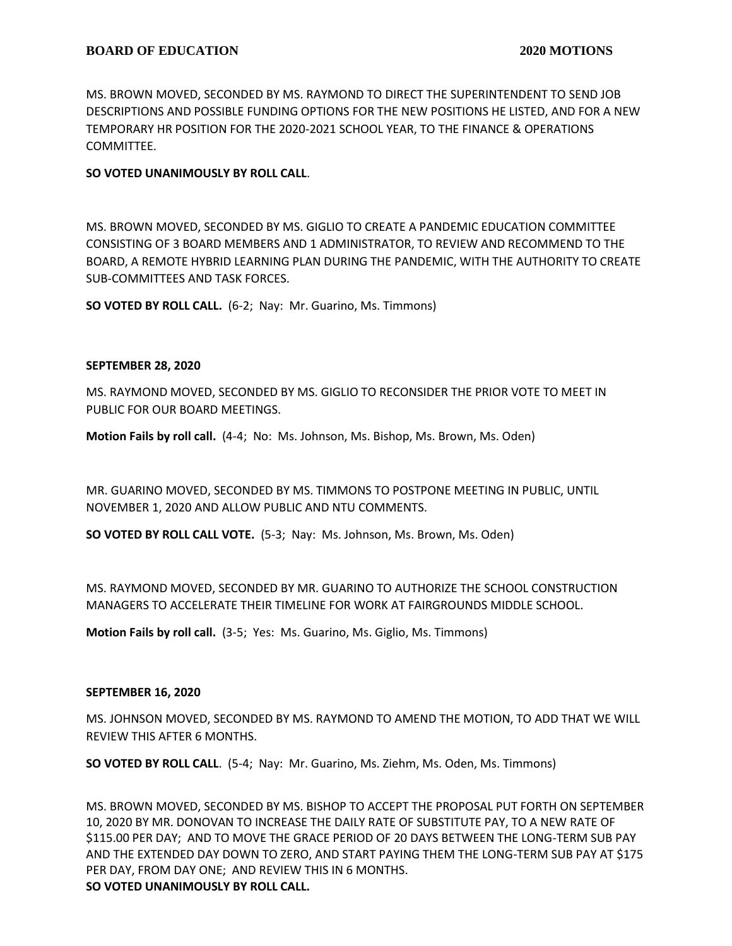MS. BROWN MOVED, SECONDED BY MS. RAYMOND TO DIRECT THE SUPERINTENDENT TO SEND JOB DESCRIPTIONS AND POSSIBLE FUNDING OPTIONS FOR THE NEW POSITIONS HE LISTED, AND FOR A NEW TEMPORARY HR POSITION FOR THE 2020-2021 SCHOOL YEAR, TO THE FINANCE & OPERATIONS COMMITTEE.

# **SO VOTED UNANIMOUSLY BY ROLL CALL**.

MS. BROWN MOVED, SECONDED BY MS. GIGLIO TO CREATE A PANDEMIC EDUCATION COMMITTEE CONSISTING OF 3 BOARD MEMBERS AND 1 ADMINISTRATOR, TO REVIEW AND RECOMMEND TO THE BOARD, A REMOTE HYBRID LEARNING PLAN DURING THE PANDEMIC, WITH THE AUTHORITY TO CREATE SUB-COMMITTEES AND TASK FORCES.

**SO VOTED BY ROLL CALL.** (6-2; Nay: Mr. Guarino, Ms. Timmons)

#### **SEPTEMBER 28, 2020**

MS. RAYMOND MOVED, SECONDED BY MS. GIGLIO TO RECONSIDER THE PRIOR VOTE TO MEET IN PUBLIC FOR OUR BOARD MEETINGS.

**Motion Fails by roll call.** (4-4; No: Ms. Johnson, Ms. Bishop, Ms. Brown, Ms. Oden)

MR. GUARINO MOVED, SECONDED BY MS. TIMMONS TO POSTPONE MEETING IN PUBLIC, UNTIL NOVEMBER 1, 2020 AND ALLOW PUBLIC AND NTU COMMENTS.

**SO VOTED BY ROLL CALL VOTE.** (5-3; Nay: Ms. Johnson, Ms. Brown, Ms. Oden)

MS. RAYMOND MOVED, SECONDED BY MR. GUARINO TO AUTHORIZE THE SCHOOL CONSTRUCTION MANAGERS TO ACCELERATE THEIR TIMELINE FOR WORK AT FAIRGROUNDS MIDDLE SCHOOL.

**Motion Fails by roll call.** (3-5; Yes: Ms. Guarino, Ms. Giglio, Ms. Timmons)

# **SEPTEMBER 16, 2020**

MS. JOHNSON MOVED, SECONDED BY MS. RAYMOND TO AMEND THE MOTION, TO ADD THAT WE WILL REVIEW THIS AFTER 6 MONTHS.

**SO VOTED BY ROLL CALL**. (5-4; Nay: Mr. Guarino, Ms. Ziehm, Ms. Oden, Ms. Timmons)

MS. BROWN MOVED, SECONDED BY MS. BISHOP TO ACCEPT THE PROPOSAL PUT FORTH ON SEPTEMBER 10, 2020 BY MR. DONOVAN TO INCREASE THE DAILY RATE OF SUBSTITUTE PAY, TO A NEW RATE OF \$115.00 PER DAY; AND TO MOVE THE GRACE PERIOD OF 20 DAYS BETWEEN THE LONG-TERM SUB PAY AND THE EXTENDED DAY DOWN TO ZERO, AND START PAYING THEM THE LONG-TERM SUB PAY AT \$175 PER DAY, FROM DAY ONE; AND REVIEW THIS IN 6 MONTHS.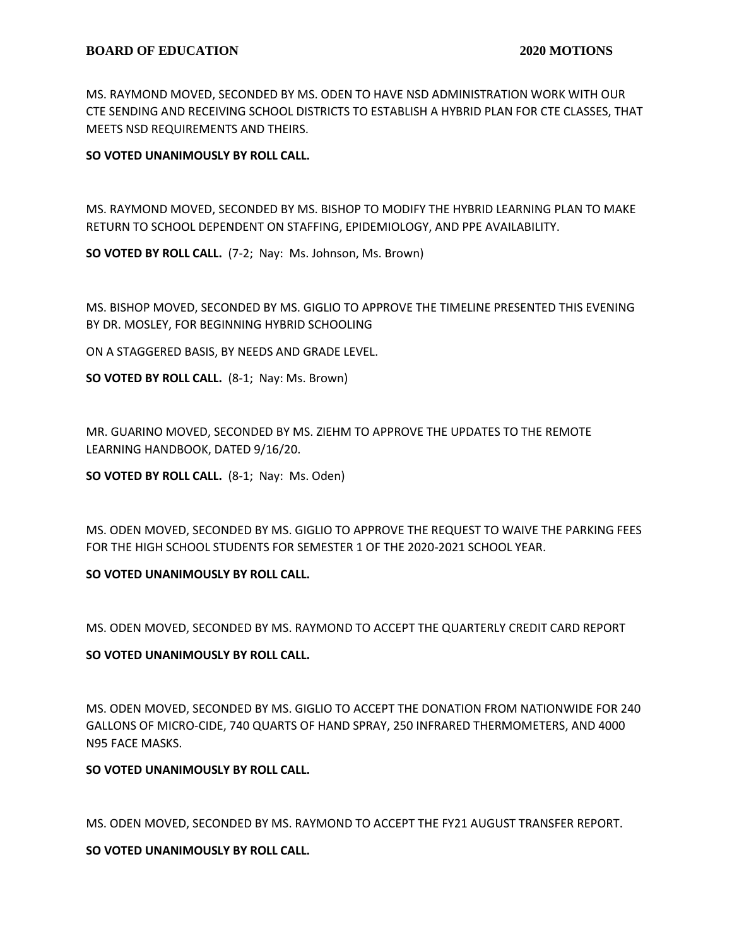MS. RAYMOND MOVED, SECONDED BY MS. ODEN TO HAVE NSD ADMINISTRATION WORK WITH OUR CTE SENDING AND RECEIVING SCHOOL DISTRICTS TO ESTABLISH A HYBRID PLAN FOR CTE CLASSES, THAT MEETS NSD REQUIREMENTS AND THEIRS.

# **SO VOTED UNANIMOUSLY BY ROLL CALL.**

MS. RAYMOND MOVED, SECONDED BY MS. BISHOP TO MODIFY THE HYBRID LEARNING PLAN TO MAKE RETURN TO SCHOOL DEPENDENT ON STAFFING, EPIDEMIOLOGY, AND PPE AVAILABILITY.

**SO VOTED BY ROLL CALL.** (7-2; Nay: Ms. Johnson, Ms. Brown)

MS. BISHOP MOVED, SECONDED BY MS. GIGLIO TO APPROVE THE TIMELINE PRESENTED THIS EVENING BY DR. MOSLEY, FOR BEGINNING HYBRID SCHOOLING

ON A STAGGERED BASIS, BY NEEDS AND GRADE LEVEL.

**SO VOTED BY ROLL CALL.** (8-1; Nay: Ms. Brown)

MR. GUARINO MOVED, SECONDED BY MS. ZIEHM TO APPROVE THE UPDATES TO THE REMOTE LEARNING HANDBOOK, DATED 9/16/20.

**SO VOTED BY ROLL CALL.** (8-1; Nay: Ms. Oden)

MS. ODEN MOVED, SECONDED BY MS. GIGLIO TO APPROVE THE REQUEST TO WAIVE THE PARKING FEES FOR THE HIGH SCHOOL STUDENTS FOR SEMESTER 1 OF THE 2020-2021 SCHOOL YEAR.

# **SO VOTED UNANIMOUSLY BY ROLL CALL.**

MS. ODEN MOVED, SECONDED BY MS. RAYMOND TO ACCEPT THE QUARTERLY CREDIT CARD REPORT

# **SO VOTED UNANIMOUSLY BY ROLL CALL.**

MS. ODEN MOVED, SECONDED BY MS. GIGLIO TO ACCEPT THE DONATION FROM NATIONWIDE FOR 240 GALLONS OF MICRO-CIDE, 740 QUARTS OF HAND SPRAY, 250 INFRARED THERMOMETERS, AND 4000 N95 FACE MASKS.

# **SO VOTED UNANIMOUSLY BY ROLL CALL.**

MS. ODEN MOVED, SECONDED BY MS. RAYMOND TO ACCEPT THE FY21 AUGUST TRANSFER REPORT.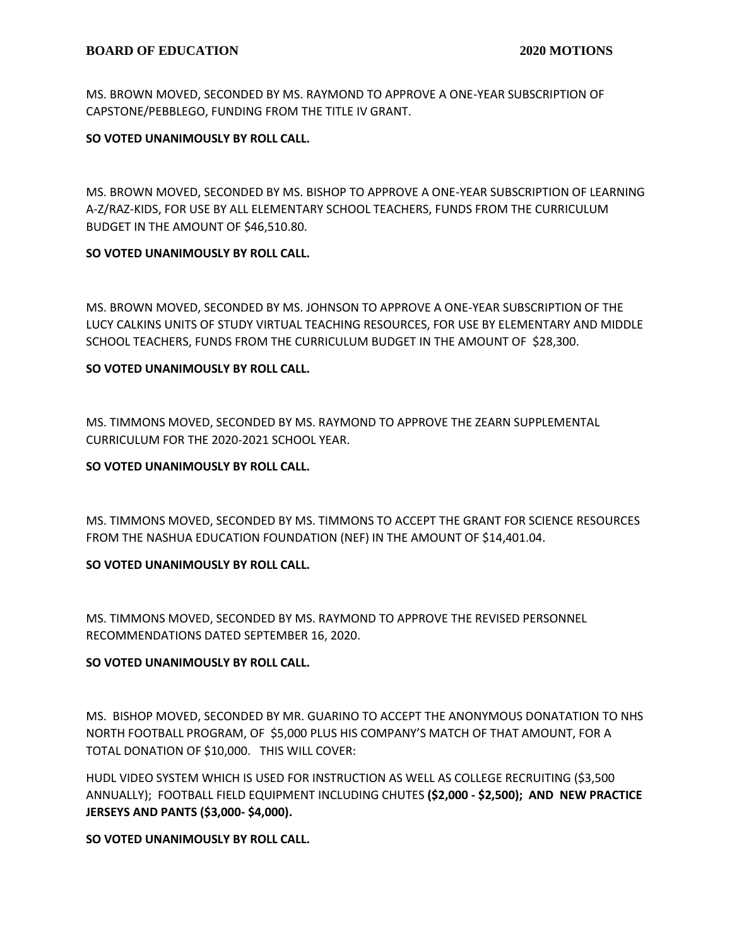MS. BROWN MOVED, SECONDED BY MS. RAYMOND TO APPROVE A ONE-YEAR SUBSCRIPTION OF CAPSTONE/PEBBLEGO, FUNDING FROM THE TITLE IV GRANT.

# **SO VOTED UNANIMOUSLY BY ROLL CALL.**

MS. BROWN MOVED, SECONDED BY MS. BISHOP TO APPROVE A ONE-YEAR SUBSCRIPTION OF LEARNING A-Z/RAZ-KIDS, FOR USE BY ALL ELEMENTARY SCHOOL TEACHERS, FUNDS FROM THE CURRICULUM BUDGET IN THE AMOUNT OF \$46,510.80.

# **SO VOTED UNANIMOUSLY BY ROLL CALL.**

MS. BROWN MOVED, SECONDED BY MS. JOHNSON TO APPROVE A ONE-YEAR SUBSCRIPTION OF THE LUCY CALKINS UNITS OF STUDY VIRTUAL TEACHING RESOURCES, FOR USE BY ELEMENTARY AND MIDDLE SCHOOL TEACHERS, FUNDS FROM THE CURRICULUM BUDGET IN THE AMOUNT OF \$28,300.

# **SO VOTED UNANIMOUSLY BY ROLL CALL.**

MS. TIMMONS MOVED, SECONDED BY MS. RAYMOND TO APPROVE THE ZEARN SUPPLEMENTAL CURRICULUM FOR THE 2020-2021 SCHOOL YEAR.

#### **SO VOTED UNANIMOUSLY BY ROLL CALL.**

MS. TIMMONS MOVED, SECONDED BY MS. TIMMONS TO ACCEPT THE GRANT FOR SCIENCE RESOURCES FROM THE NASHUA EDUCATION FOUNDATION (NEF) IN THE AMOUNT OF \$14,401.04.

# **SO VOTED UNANIMOUSLY BY ROLL CALL.**

MS. TIMMONS MOVED, SECONDED BY MS. RAYMOND TO APPROVE THE REVISED PERSONNEL RECOMMENDATIONS DATED SEPTEMBER 16, 2020.

# **SO VOTED UNANIMOUSLY BY ROLL CALL.**

MS. BISHOP MOVED, SECONDED BY MR. GUARINO TO ACCEPT THE ANONYMOUS DONATATION TO NHS NORTH FOOTBALL PROGRAM, OF \$5,000 PLUS HIS COMPANY'S MATCH OF THAT AMOUNT, FOR A TOTAL DONATION OF \$10,000. THIS WILL COVER:

HUDL VIDEO SYSTEM WHICH IS USED FOR INSTRUCTION AS WELL AS COLLEGE RECRUITING (\$3,500 ANNUALLY); FOOTBALL FIELD EQUIPMENT INCLUDING CHUTES **(\$2,000 - \$2,500); AND NEW PRACTICE JERSEYS AND PANTS (\$3,000- \$4,000).**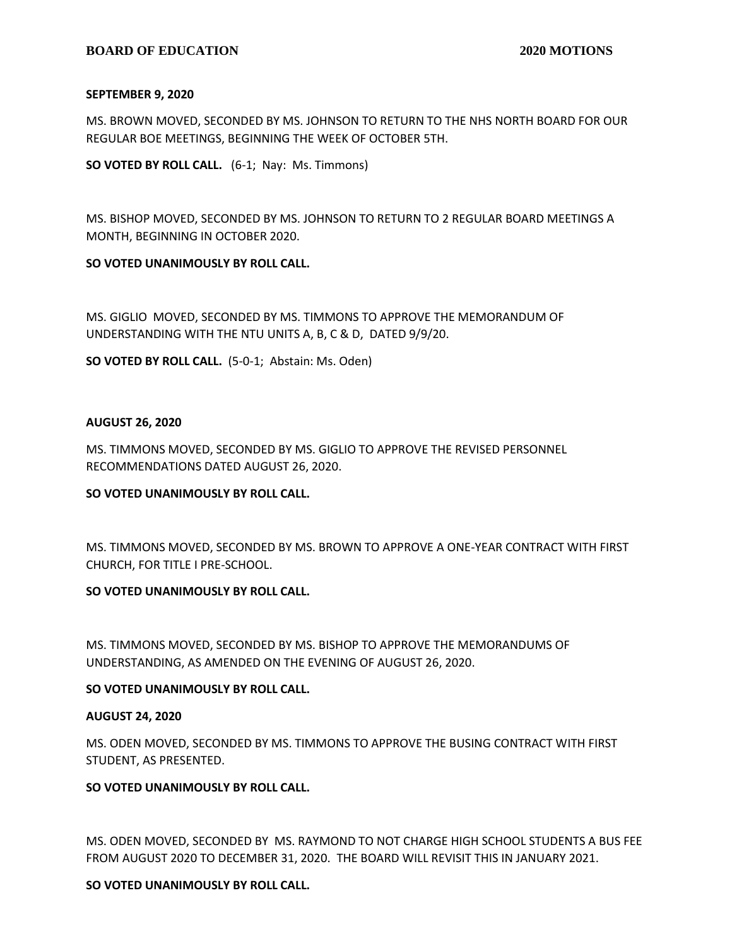#### **BOARD OF EDUCATION 2020 MOTIONS**

#### **SEPTEMBER 9, 2020**

MS. BROWN MOVED, SECONDED BY MS. JOHNSON TO RETURN TO THE NHS NORTH BOARD FOR OUR REGULAR BOE MEETINGS, BEGINNING THE WEEK OF OCTOBER 5TH.

**SO VOTED BY ROLL CALL.** (6-1; Nay: Ms. Timmons)

MS. BISHOP MOVED, SECONDED BY MS. JOHNSON TO RETURN TO 2 REGULAR BOARD MEETINGS A MONTH, BEGINNING IN OCTOBER 2020.

#### **SO VOTED UNANIMOUSLY BY ROLL CALL.**

MS. GIGLIO MOVED, SECONDED BY MS. TIMMONS TO APPROVE THE MEMORANDUM OF UNDERSTANDING WITH THE NTU UNITS A, B, C & D, DATED 9/9/20.

**SO VOTED BY ROLL CALL.** (5-0-1; Abstain: Ms. Oden)

#### **AUGUST 26, 2020**

MS. TIMMONS MOVED, SECONDED BY MS. GIGLIO TO APPROVE THE REVISED PERSONNEL RECOMMENDATIONS DATED AUGUST 26, 2020.

#### **SO VOTED UNANIMOUSLY BY ROLL CALL.**

MS. TIMMONS MOVED, SECONDED BY MS. BROWN TO APPROVE A ONE-YEAR CONTRACT WITH FIRST CHURCH, FOR TITLE I PRE-SCHOOL.

# **SO VOTED UNANIMOUSLY BY ROLL CALL.**

MS. TIMMONS MOVED, SECONDED BY MS. BISHOP TO APPROVE THE MEMORANDUMS OF UNDERSTANDING, AS AMENDED ON THE EVENING OF AUGUST 26, 2020.

#### **SO VOTED UNANIMOUSLY BY ROLL CALL.**

#### **AUGUST 24, 2020**

MS. ODEN MOVED, SECONDED BY MS. TIMMONS TO APPROVE THE BUSING CONTRACT WITH FIRST STUDENT, AS PRESENTED.

# **SO VOTED UNANIMOUSLY BY ROLL CALL.**

MS. ODEN MOVED, SECONDED BY MS. RAYMOND TO NOT CHARGE HIGH SCHOOL STUDENTS A BUS FEE FROM AUGUST 2020 TO DECEMBER 31, 2020. THE BOARD WILL REVISIT THIS IN JANUARY 2021.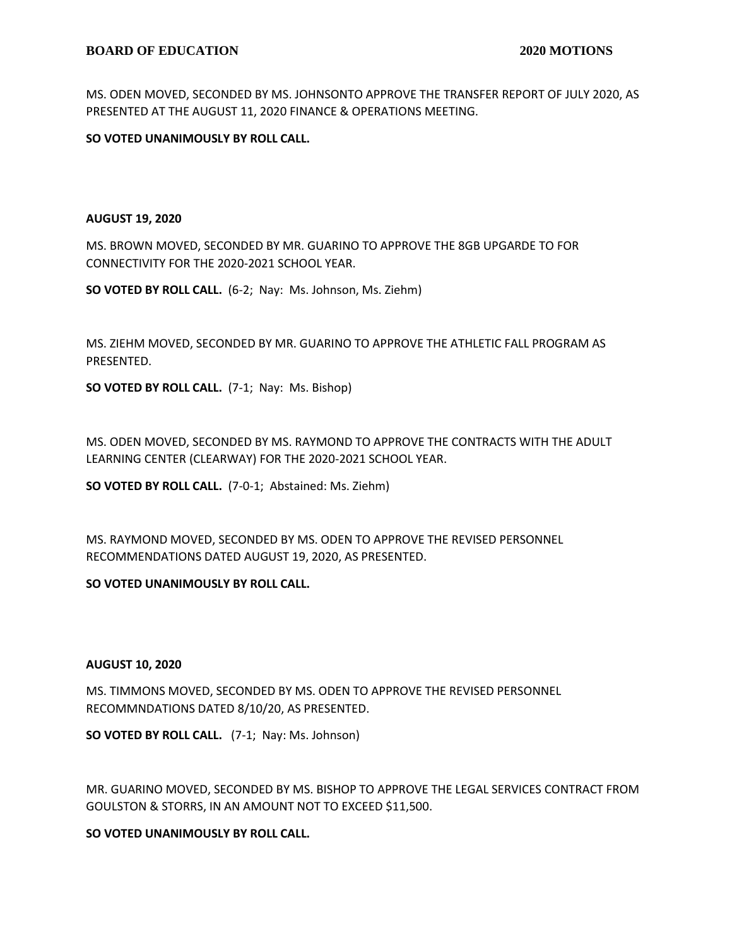MS. ODEN MOVED, SECONDED BY MS. JOHNSONTO APPROVE THE TRANSFER REPORT OF JULY 2020, AS PRESENTED AT THE AUGUST 11, 2020 FINANCE & OPERATIONS MEETING.

**SO VOTED UNANIMOUSLY BY ROLL CALL.**

#### **AUGUST 19, 2020**

MS. BROWN MOVED, SECONDED BY MR. GUARINO TO APPROVE THE 8GB UPGARDE TO FOR CONNECTIVITY FOR THE 2020-2021 SCHOOL YEAR.

**SO VOTED BY ROLL CALL.** (6-2; Nay: Ms. Johnson, Ms. Ziehm)

MS. ZIEHM MOVED, SECONDED BY MR. GUARINO TO APPROVE THE ATHLETIC FALL PROGRAM AS PRESENTED.

**SO VOTED BY ROLL CALL.** (7-1; Nay: Ms. Bishop)

MS. ODEN MOVED, SECONDED BY MS. RAYMOND TO APPROVE THE CONTRACTS WITH THE ADULT LEARNING CENTER (CLEARWAY) FOR THE 2020-2021 SCHOOL YEAR.

**SO VOTED BY ROLL CALL.** (7-0-1; Abstained: Ms. Ziehm)

MS. RAYMOND MOVED, SECONDED BY MS. ODEN TO APPROVE THE REVISED PERSONNEL RECOMMENDATIONS DATED AUGUST 19, 2020, AS PRESENTED.

# **SO VOTED UNANIMOUSLY BY ROLL CALL.**

#### **AUGUST 10, 2020**

MS. TIMMONS MOVED, SECONDED BY MS. ODEN TO APPROVE THE REVISED PERSONNEL RECOMMNDATIONS DATED 8/10/20, AS PRESENTED.

**SO VOTED BY ROLL CALL.** (7-1; Nay: Ms. Johnson)

MR. GUARINO MOVED, SECONDED BY MS. BISHOP TO APPROVE THE LEGAL SERVICES CONTRACT FROM GOULSTON & STORRS, IN AN AMOUNT NOT TO EXCEED \$11,500.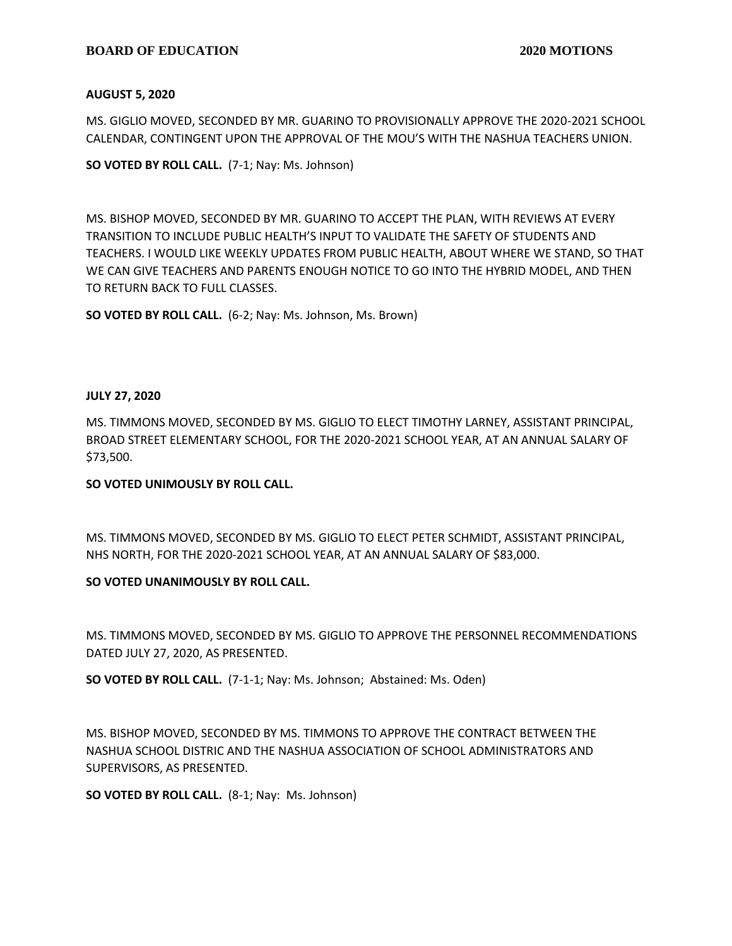# **BOARD OF EDUCATION 2020 MOTIONS**

# **AUGUST 5, 2020**

MS. GIGLIO MOVED, SECONDED BY MR. GUARINO TO PROVISIONALLY APPROVE THE 2020-2021 SCHOOL CALENDAR, CONTINGENT UPON THE APPROVAL OF THE MOU'S WITH THE NASHUA TEACHERS UNION.

**SO VOTED BY ROLL CALL.** (7-1; Nay: Ms. Johnson)

MS. BISHOP MOVED, SECONDED BY MR. GUARINO TO ACCEPT THE PLAN, WITH REVIEWS AT EVERY TRANSITION TO INCLUDE PUBLIC HEALTH'S INPUT TO VALIDATE THE SAFETY OF STUDENTS AND TEACHERS. I WOULD LIKE WEEKLY UPDATES FROM PUBLIC HEALTH, ABOUT WHERE WE STAND, SO THAT WE CAN GIVE TEACHERS AND PARENTS ENOUGH NOTICE TO GO INTO THE HYBRID MODEL, AND THEN TO RETURN BACK TO FULL CLASSES.

**SO VOTED BY ROLL CALL.** (6-2; Nay: Ms. Johnson, Ms. Brown)

# **JULY 27, 2020**

MS. TIMMONS MOVED, SECONDED BY MS. GIGLIO TO ELECT TIMOTHY LARNEY, ASSISTANT PRINCIPAL, BROAD STREET ELEMENTARY SCHOOL, FOR THE 2020-2021 SCHOOL YEAR, AT AN ANNUAL SALARY OF \$73,500.

# **SO VOTED UNIMOUSLY BY ROLL CALL.**

MS. TIMMONS MOVED, SECONDED BY MS. GIGLIO TO ELECT PETER SCHMIDT, ASSISTANT PRINCIPAL, NHS NORTH, FOR THE 2020-2021 SCHOOL YEAR, AT AN ANNUAL SALARY OF \$83,000.

# **SO VOTED UNANIMOUSLY BY ROLL CALL.**

MS. TIMMONS MOVED, SECONDED BY MS. GIGLIO TO APPROVE THE PERSONNEL RECOMMENDATIONS DATED JULY 27, 2020, AS PRESENTED.

**SO VOTED BY ROLL CALL.** (7-1-1; Nay: Ms. Johnson; Abstained: Ms. Oden)

MS. BISHOP MOVED, SECONDED BY MS. TIMMONS TO APPROVE THE CONTRACT BETWEEN THE NASHUA SCHOOL DISTRIC AND THE NASHUA ASSOCIATION OF SCHOOL ADMINISTRATORS AND SUPERVISORS, AS PRESENTED.

**SO VOTED BY ROLL CALL.** (8-1; Nay: Ms. Johnson)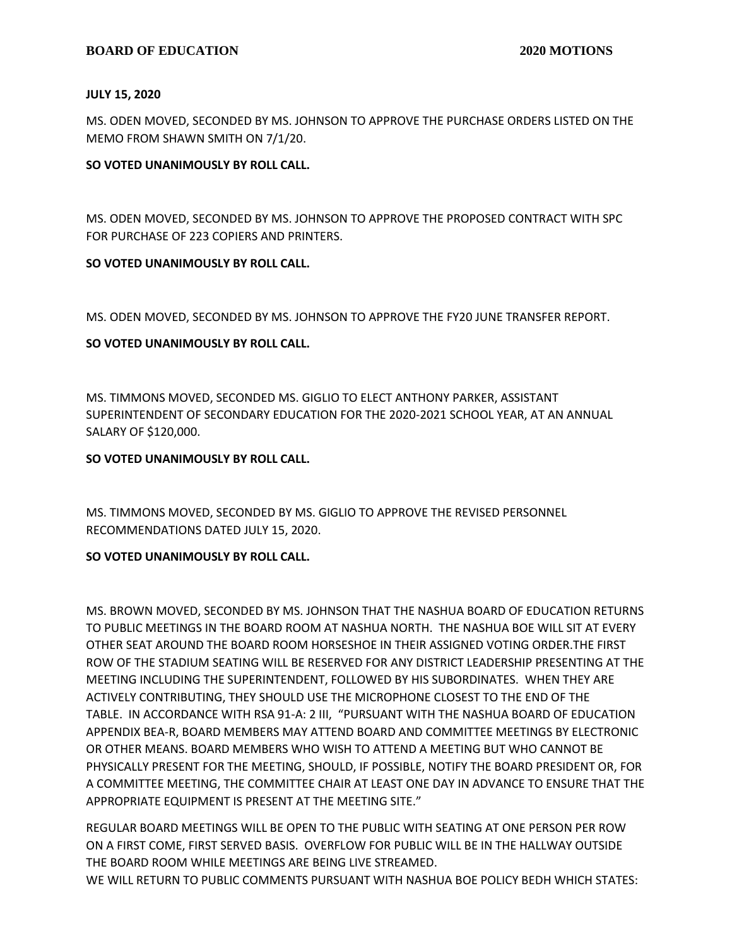#### **JULY 15, 2020**

MS. ODEN MOVED, SECONDED BY MS. JOHNSON TO APPROVE THE PURCHASE ORDERS LISTED ON THE MEMO FROM SHAWN SMITH ON 7/1/20.

# **SO VOTED UNANIMOUSLY BY ROLL CALL.**

MS. ODEN MOVED, SECONDED BY MS. JOHNSON TO APPROVE THE PROPOSED CONTRACT WITH SPC FOR PURCHASE OF 223 COPIERS AND PRINTERS.

# **SO VOTED UNANIMOUSLY BY ROLL CALL.**

MS. ODEN MOVED, SECONDED BY MS. JOHNSON TO APPROVE THE FY20 JUNE TRANSFER REPORT.

# **SO VOTED UNANIMOUSLY BY ROLL CALL.**

MS. TIMMONS MOVED, SECONDED MS. GIGLIO TO ELECT ANTHONY PARKER, ASSISTANT SUPERINTENDENT OF SECONDARY EDUCATION FOR THE 2020-2021 SCHOOL YEAR, AT AN ANNUAL SALARY OF \$120,000.

# **SO VOTED UNANIMOUSLY BY ROLL CALL.**

MS. TIMMONS MOVED, SECONDED BY MS. GIGLIO TO APPROVE THE REVISED PERSONNEL RECOMMENDATIONS DATED JULY 15, 2020.

# **SO VOTED UNANIMOUSLY BY ROLL CALL.**

MS. BROWN MOVED, SECONDED BY MS. JOHNSON THAT THE NASHUA BOARD OF EDUCATION RETURNS TO PUBLIC MEETINGS IN THE BOARD ROOM AT NASHUA NORTH. THE NASHUA BOE WILL SIT AT EVERY OTHER SEAT AROUND THE BOARD ROOM HORSESHOE IN THEIR ASSIGNED VOTING ORDER.THE FIRST ROW OF THE STADIUM SEATING WILL BE RESERVED FOR ANY DISTRICT LEADERSHIP PRESENTING AT THE MEETING INCLUDING THE SUPERINTENDENT, FOLLOWED BY HIS SUBORDINATES. WHEN THEY ARE ACTIVELY CONTRIBUTING, THEY SHOULD USE THE MICROPHONE CLOSEST TO THE END OF THE TABLE. IN ACCORDANCE WITH RSA 91-A: 2 III, "PURSUANT WITH THE NASHUA BOARD OF EDUCATION APPENDIX BEA-R, BOARD MEMBERS MAY ATTEND BOARD AND COMMITTEE MEETINGS BY ELECTRONIC OR OTHER MEANS. BOARD MEMBERS WHO WISH TO ATTEND A MEETING BUT WHO CANNOT BE PHYSICALLY PRESENT FOR THE MEETING, SHOULD, IF POSSIBLE, NOTIFY THE BOARD PRESIDENT OR, FOR A COMMITTEE MEETING, THE COMMITTEE CHAIR AT LEAST ONE DAY IN ADVANCE TO ENSURE THAT THE APPROPRIATE EQUIPMENT IS PRESENT AT THE MEETING SITE."

REGULAR BOARD MEETINGS WILL BE OPEN TO THE PUBLIC WITH SEATING AT ONE PERSON PER ROW ON A FIRST COME, FIRST SERVED BASIS. OVERFLOW FOR PUBLIC WILL BE IN THE HALLWAY OUTSIDE THE BOARD ROOM WHILE MEETINGS ARE BEING LIVE STREAMED.

WE WILL RETURN TO PUBLIC COMMENTS PURSUANT WITH NASHUA BOE POLICY BEDH WHICH STATES: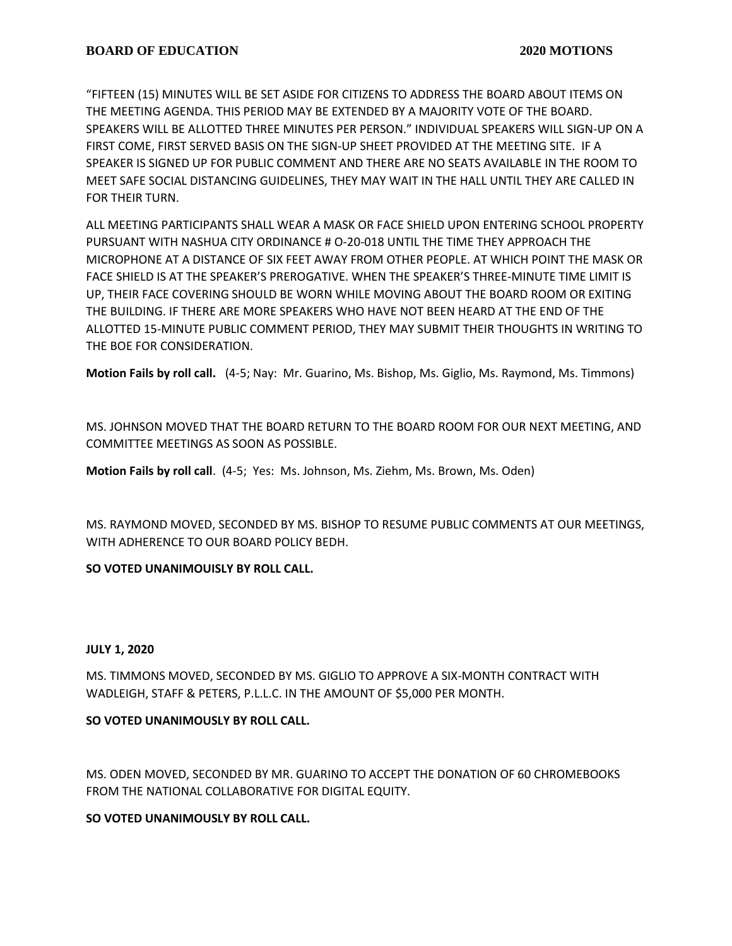"FIFTEEN (15) MINUTES WILL BE SET ASIDE FOR CITIZENS TO ADDRESS THE BOARD ABOUT ITEMS ON THE MEETING AGENDA. THIS PERIOD MAY BE EXTENDED BY A MAJORITY VOTE OF THE BOARD. SPEAKERS WILL BE ALLOTTED THREE MINUTES PER PERSON." INDIVIDUAL SPEAKERS WILL SIGN-UP ON A FIRST COME, FIRST SERVED BASIS ON THE SIGN-UP SHEET PROVIDED AT THE MEETING SITE. IF A SPEAKER IS SIGNED UP FOR PUBLIC COMMENT AND THERE ARE NO SEATS AVAILABLE IN THE ROOM TO MEET SAFE SOCIAL DISTANCING GUIDELINES, THEY MAY WAIT IN THE HALL UNTIL THEY ARE CALLED IN FOR THEIR TURN.

ALL MEETING PARTICIPANTS SHALL WEAR A MASK OR FACE SHIELD UPON ENTERING SCHOOL PROPERTY PURSUANT WITH NASHUA CITY ORDINANCE # O-20-018 UNTIL THE TIME THEY APPROACH THE MICROPHONE AT A DISTANCE OF SIX FEET AWAY FROM OTHER PEOPLE. AT WHICH POINT THE MASK OR FACE SHIELD IS AT THE SPEAKER'S PREROGATIVE. WHEN THE SPEAKER'S THREE-MINUTE TIME LIMIT IS UP, THEIR FACE COVERING SHOULD BE WORN WHILE MOVING ABOUT THE BOARD ROOM OR EXITING THE BUILDING. IF THERE ARE MORE SPEAKERS WHO HAVE NOT BEEN HEARD AT THE END OF THE ALLOTTED 15-MINUTE PUBLIC COMMENT PERIOD, THEY MAY SUBMIT THEIR THOUGHTS IN WRITING TO THE BOE FOR CONSIDERATION.

**Motion Fails by roll call.** (4-5; Nay: Mr. Guarino, Ms. Bishop, Ms. Giglio, Ms. Raymond, Ms. Timmons)

MS. JOHNSON MOVED THAT THE BOARD RETURN TO THE BOARD ROOM FOR OUR NEXT MEETING, AND COMMITTEE MEETINGS AS SOON AS POSSIBLE.

**Motion Fails by roll call**. (4-5; Yes: Ms. Johnson, Ms. Ziehm, Ms. Brown, Ms. Oden)

MS. RAYMOND MOVED, SECONDED BY MS. BISHOP TO RESUME PUBLIC COMMENTS AT OUR MEETINGS, WITH ADHERENCE TO OUR BOARD POLICY BEDH.

**SO VOTED UNANIMOUISLY BY ROLL CALL.**

# **JULY 1, 2020**

MS. TIMMONS MOVED, SECONDED BY MS. GIGLIO TO APPROVE A SIX-MONTH CONTRACT WITH WADLEIGH, STAFF & PETERS, P.L.L.C. IN THE AMOUNT OF \$5,000 PER MONTH.

# **SO VOTED UNANIMOUSLY BY ROLL CALL.**

MS. ODEN MOVED, SECONDED BY MR. GUARINO TO ACCEPT THE DONATION OF 60 CHROMEBOOKS FROM THE NATIONAL COLLABORATIVE FOR DIGITAL EQUITY.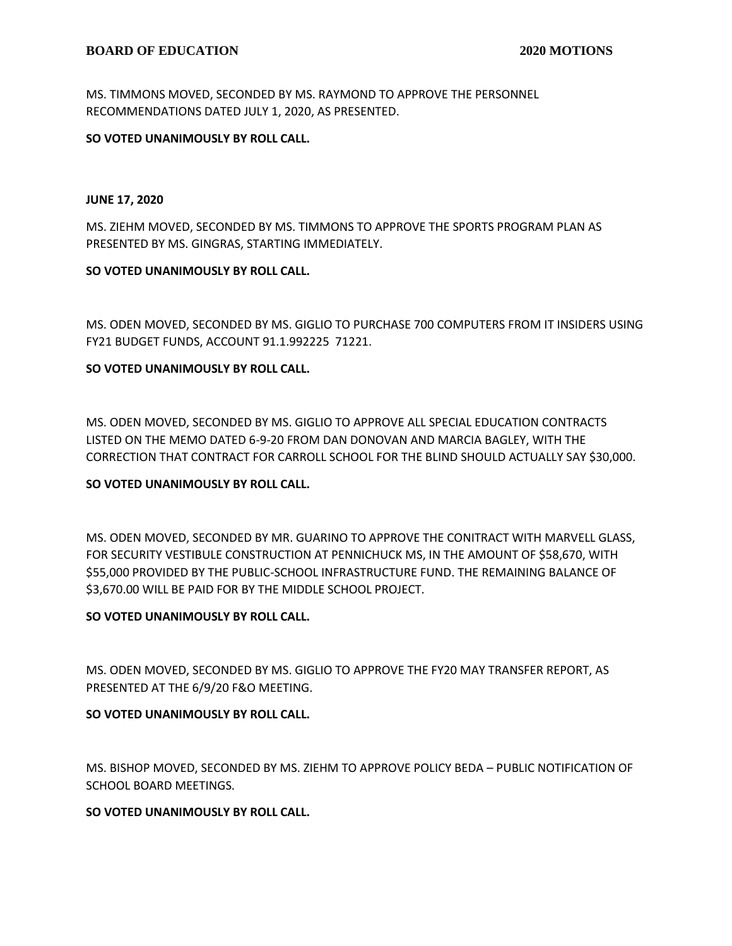MS. TIMMONS MOVED, SECONDED BY MS. RAYMOND TO APPROVE THE PERSONNEL RECOMMENDATIONS DATED JULY 1, 2020, AS PRESENTED.

#### **SO VOTED UNANIMOUSLY BY ROLL CALL.**

#### **JUNE 17, 2020**

MS. ZIEHM MOVED, SECONDED BY MS. TIMMONS TO APPROVE THE SPORTS PROGRAM PLAN AS PRESENTED BY MS. GINGRAS, STARTING IMMEDIATELY.

#### **SO VOTED UNANIMOUSLY BY ROLL CALL.**

MS. ODEN MOVED, SECONDED BY MS. GIGLIO TO PURCHASE 700 COMPUTERS FROM IT INSIDERS USING FY21 BUDGET FUNDS, ACCOUNT 91.1.992225 71221.

# **SO VOTED UNANIMOUSLY BY ROLL CALL.**

MS. ODEN MOVED, SECONDED BY MS. GIGLIO TO APPROVE ALL SPECIAL EDUCATION CONTRACTS LISTED ON THE MEMO DATED 6-9-20 FROM DAN DONOVAN AND MARCIA BAGLEY, WITH THE CORRECTION THAT CONTRACT FOR CARROLL SCHOOL FOR THE BLIND SHOULD ACTUALLY SAY \$30,000.

# **SO VOTED UNANIMOUSLY BY ROLL CALL.**

MS. ODEN MOVED, SECONDED BY MR. GUARINO TO APPROVE THE CONITRACT WITH MARVELL GLASS, FOR SECURITY VESTIBULE CONSTRUCTION AT PENNICHUCK MS, IN THE AMOUNT OF \$58,670, WITH \$55,000 PROVIDED BY THE PUBLIC-SCHOOL INFRASTRUCTURE FUND. THE REMAINING BALANCE OF \$3,670.00 WILL BE PAID FOR BY THE MIDDLE SCHOOL PROJECT.

#### **SO VOTED UNANIMOUSLY BY ROLL CALL.**

MS. ODEN MOVED, SECONDED BY MS. GIGLIO TO APPROVE THE FY20 MAY TRANSFER REPORT, AS PRESENTED AT THE 6/9/20 F&O MEETING.

#### **SO VOTED UNANIMOUSLY BY ROLL CALL.**

MS. BISHOP MOVED, SECONDED BY MS. ZIEHM TO APPROVE POLICY BEDA – PUBLIC NOTIFICATION OF SCHOOL BOARD MEETINGS.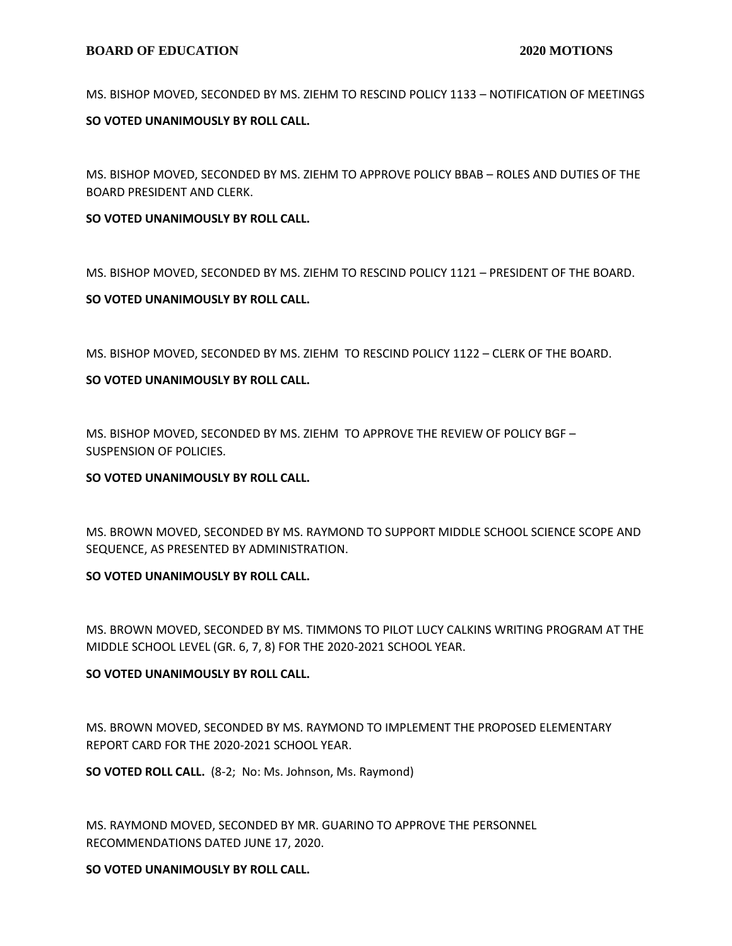#### **BOARD OF EDUCATION 2020 MOTIONS**

MS. BISHOP MOVED, SECONDED BY MS. ZIEHM TO RESCIND POLICY 1133 – NOTIFICATION OF MEETINGS

#### **SO VOTED UNANIMOUSLY BY ROLL CALL.**

MS. BISHOP MOVED, SECONDED BY MS. ZIEHM TO APPROVE POLICY BBAB – ROLES AND DUTIES OF THE BOARD PRESIDENT AND CLERK.

#### **SO VOTED UNANIMOUSLY BY ROLL CALL.**

MS. BISHOP MOVED, SECONDED BY MS. ZIEHM TO RESCIND POLICY 1121 – PRESIDENT OF THE BOARD.

# **SO VOTED UNANIMOUSLY BY ROLL CALL.**

MS. BISHOP MOVED, SECONDED BY MS. ZIEHM TO RESCIND POLICY 1122 – CLERK OF THE BOARD.

# **SO VOTED UNANIMOUSLY BY ROLL CALL.**

MS. BISHOP MOVED, SECONDED BY MS. ZIEHM TO APPROVE THE REVIEW OF POLICY BGF – SUSPENSION OF POLICIES.

#### **SO VOTED UNANIMOUSLY BY ROLL CALL.**

MS. BROWN MOVED, SECONDED BY MS. RAYMOND TO SUPPORT MIDDLE SCHOOL SCIENCE SCOPE AND SEQUENCE, AS PRESENTED BY ADMINISTRATION.

#### **SO VOTED UNANIMOUSLY BY ROLL CALL.**

MS. BROWN MOVED, SECONDED BY MS. TIMMONS TO PILOT LUCY CALKINS WRITING PROGRAM AT THE MIDDLE SCHOOL LEVEL (GR. 6, 7, 8) FOR THE 2020-2021 SCHOOL YEAR.

# **SO VOTED UNANIMOUSLY BY ROLL CALL.**

MS. BROWN MOVED, SECONDED BY MS. RAYMOND TO IMPLEMENT THE PROPOSED ELEMENTARY REPORT CARD FOR THE 2020-2021 SCHOOL YEAR.

**SO VOTED ROLL CALL.** (8-2; No: Ms. Johnson, Ms. Raymond)

MS. RAYMOND MOVED, SECONDED BY MR. GUARINO TO APPROVE THE PERSONNEL RECOMMENDATIONS DATED JUNE 17, 2020.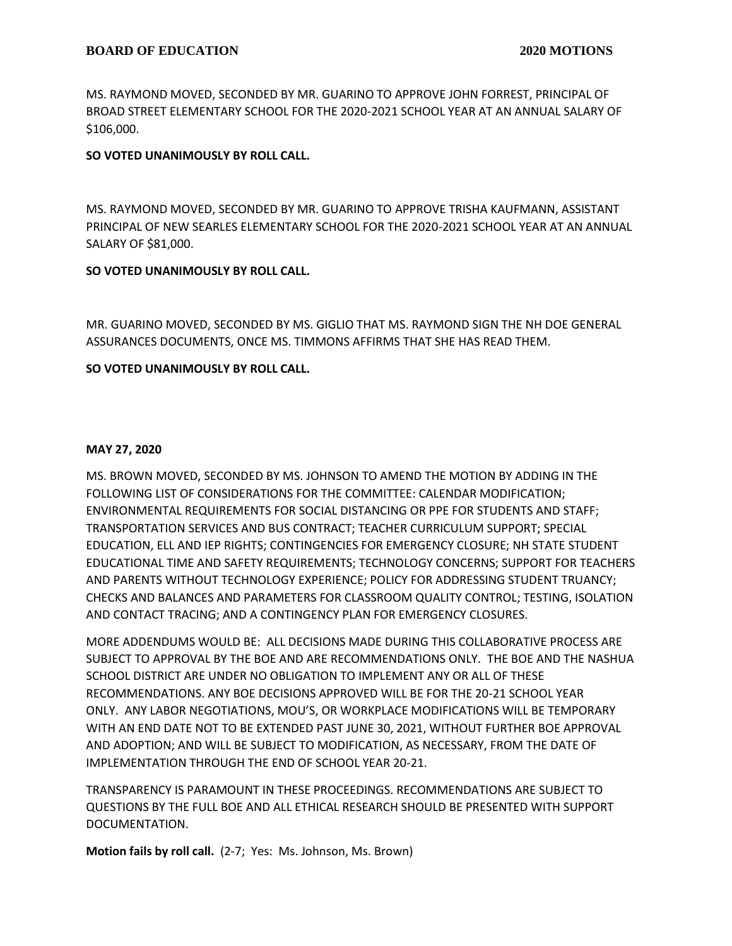MS. RAYMOND MOVED, SECONDED BY MR. GUARINO TO APPROVE JOHN FORREST, PRINCIPAL OF BROAD STREET ELEMENTARY SCHOOL FOR THE 2020-2021 SCHOOL YEAR AT AN ANNUAL SALARY OF \$106,000.

# **SO VOTED UNANIMOUSLY BY ROLL CALL.**

MS. RAYMOND MOVED, SECONDED BY MR. GUARINO TO APPROVE TRISHA KAUFMANN, ASSISTANT PRINCIPAL OF NEW SEARLES ELEMENTARY SCHOOL FOR THE 2020-2021 SCHOOL YEAR AT AN ANNUAL SALARY OF \$81,000.

#### **SO VOTED UNANIMOUSLY BY ROLL CALL.**

MR. GUARINO MOVED, SECONDED BY MS. GIGLIO THAT MS. RAYMOND SIGN THE NH DOE GENERAL ASSURANCES DOCUMENTS, ONCE MS. TIMMONS AFFIRMS THAT SHE HAS READ THEM.

#### **SO VOTED UNANIMOUSLY BY ROLL CALL.**

#### **MAY 27, 2020**

MS. BROWN MOVED, SECONDED BY MS. JOHNSON TO AMEND THE MOTION BY ADDING IN THE FOLLOWING LIST OF CONSIDERATIONS FOR THE COMMITTEE: CALENDAR MODIFICATION; ENVIRONMENTAL REQUIREMENTS FOR SOCIAL DISTANCING OR PPE FOR STUDENTS AND STAFF; TRANSPORTATION SERVICES AND BUS CONTRACT; TEACHER CURRICULUM SUPPORT; SPECIAL EDUCATION, ELL AND IEP RIGHTS; CONTINGENCIES FOR EMERGENCY CLOSURE; NH STATE STUDENT EDUCATIONAL TIME AND SAFETY REQUIREMENTS; TECHNOLOGY CONCERNS; SUPPORT FOR TEACHERS AND PARENTS WITHOUT TECHNOLOGY EXPERIENCE; POLICY FOR ADDRESSING STUDENT TRUANCY; CHECKS AND BALANCES AND PARAMETERS FOR CLASSROOM QUALITY CONTROL; TESTING, ISOLATION AND CONTACT TRACING; AND A CONTINGENCY PLAN FOR EMERGENCY CLOSURES.

MORE ADDENDUMS WOULD BE: ALL DECISIONS MADE DURING THIS COLLABORATIVE PROCESS ARE SUBJECT TO APPROVAL BY THE BOE AND ARE RECOMMENDATIONS ONLY. THE BOE AND THE NASHUA SCHOOL DISTRICT ARE UNDER NO OBLIGATION TO IMPLEMENT ANY OR ALL OF THESE RECOMMENDATIONS. ANY BOE DECISIONS APPROVED WILL BE FOR THE 20-21 SCHOOL YEAR ONLY. ANY LABOR NEGOTIATIONS, MOU'S, OR WORKPLACE MODIFICATIONS WILL BE TEMPORARY WITH AN END DATE NOT TO BE EXTENDED PAST JUNE 30, 2021, WITHOUT FURTHER BOE APPROVAL AND ADOPTION; AND WILL BE SUBJECT TO MODIFICATION, AS NECESSARY, FROM THE DATE OF IMPLEMENTATION THROUGH THE END OF SCHOOL YEAR 20-21.

TRANSPARENCY IS PARAMOUNT IN THESE PROCEEDINGS. RECOMMENDATIONS ARE SUBJECT TO QUESTIONS BY THE FULL BOE AND ALL ETHICAL RESEARCH SHOULD BE PRESENTED WITH SUPPORT DOCUMENTATION.

**Motion fails by roll call.** (2-7; Yes: Ms. Johnson, Ms. Brown)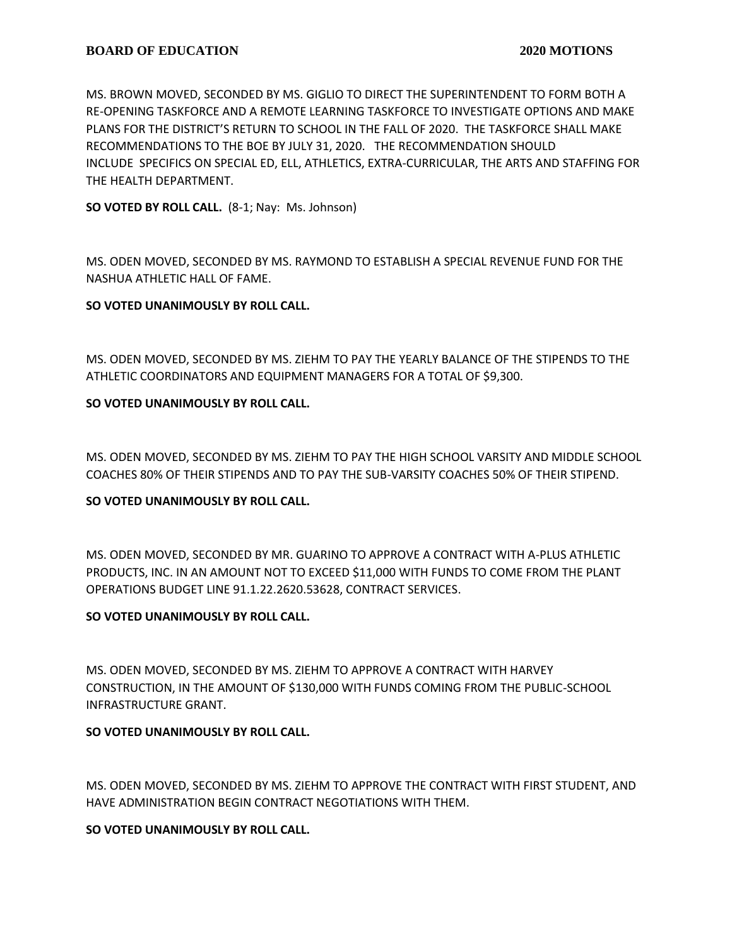MS. BROWN MOVED, SECONDED BY MS. GIGLIO TO DIRECT THE SUPERINTENDENT TO FORM BOTH A RE-OPENING TASKFORCE AND A REMOTE LEARNING TASKFORCE TO INVESTIGATE OPTIONS AND MAKE PLANS FOR THE DISTRICT'S RETURN TO SCHOOL IN THE FALL OF 2020. THE TASKFORCE SHALL MAKE RECOMMENDATIONS TO THE BOE BY JULY 31, 2020. THE RECOMMENDATION SHOULD INCLUDE SPECIFICS ON SPECIAL ED, ELL, ATHLETICS, EXTRA-CURRICULAR, THE ARTS AND STAFFING FOR THE HEALTH DEPARTMENT.

**SO VOTED BY ROLL CALL.** (8-1; Nay: Ms. Johnson)

MS. ODEN MOVED, SECONDED BY MS. RAYMOND TO ESTABLISH A SPECIAL REVENUE FUND FOR THE NASHUA ATHLETIC HALL OF FAME.

# **SO VOTED UNANIMOUSLY BY ROLL CALL.**

MS. ODEN MOVED, SECONDED BY MS. ZIEHM TO PAY THE YEARLY BALANCE OF THE STIPENDS TO THE ATHLETIC COORDINATORS AND EQUIPMENT MANAGERS FOR A TOTAL OF \$9,300.

# **SO VOTED UNANIMOUSLY BY ROLL CALL.**

MS. ODEN MOVED, SECONDED BY MS. ZIEHM TO PAY THE HIGH SCHOOL VARSITY AND MIDDLE SCHOOL COACHES 80% OF THEIR STIPENDS AND TO PAY THE SUB-VARSITY COACHES 50% OF THEIR STIPEND.

# **SO VOTED UNANIMOUSLY BY ROLL CALL.**

MS. ODEN MOVED, SECONDED BY MR. GUARINO TO APPROVE A CONTRACT WITH A-PLUS ATHLETIC PRODUCTS, INC. IN AN AMOUNT NOT TO EXCEED \$11,000 WITH FUNDS TO COME FROM THE PLANT OPERATIONS BUDGET LINE 91.1.22.2620.53628, CONTRACT SERVICES.

# **SO VOTED UNANIMOUSLY BY ROLL CALL.**

MS. ODEN MOVED, SECONDED BY MS. ZIEHM TO APPROVE A CONTRACT WITH HARVEY CONSTRUCTION, IN THE AMOUNT OF \$130,000 WITH FUNDS COMING FROM THE PUBLIC-SCHOOL INFRASTRUCTURE GRANT.

# **SO VOTED UNANIMOUSLY BY ROLL CALL.**

MS. ODEN MOVED, SECONDED BY MS. ZIEHM TO APPROVE THE CONTRACT WITH FIRST STUDENT, AND HAVE ADMINISTRATION BEGIN CONTRACT NEGOTIATIONS WITH THEM.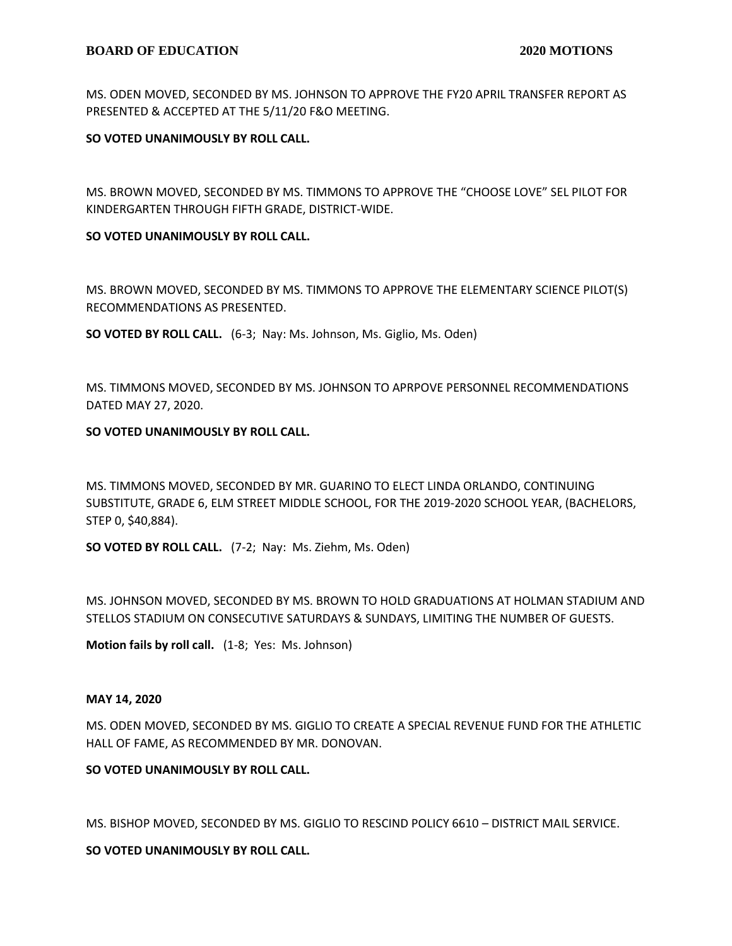MS. ODEN MOVED, SECONDED BY MS. JOHNSON TO APPROVE THE FY20 APRIL TRANSFER REPORT AS PRESENTED & ACCEPTED AT THE 5/11/20 F&O MEETING.

# **SO VOTED UNANIMOUSLY BY ROLL CALL.**

MS. BROWN MOVED, SECONDED BY MS. TIMMONS TO APPROVE THE "CHOOSE LOVE" SEL PILOT FOR KINDERGARTEN THROUGH FIFTH GRADE, DISTRICT-WIDE.

#### **SO VOTED UNANIMOUSLY BY ROLL CALL.**

MS. BROWN MOVED, SECONDED BY MS. TIMMONS TO APPROVE THE ELEMENTARY SCIENCE PILOT(S) RECOMMENDATIONS AS PRESENTED.

**SO VOTED BY ROLL CALL.** (6-3; Nay: Ms. Johnson, Ms. Giglio, Ms. Oden)

MS. TIMMONS MOVED, SECONDED BY MS. JOHNSON TO APRPOVE PERSONNEL RECOMMENDATIONS DATED MAY 27, 2020.

# **SO VOTED UNANIMOUSLY BY ROLL CALL.**

MS. TIMMONS MOVED, SECONDED BY MR. GUARINO TO ELECT LINDA ORLANDO, CONTINUING SUBSTITUTE, GRADE 6, ELM STREET MIDDLE SCHOOL, FOR THE 2019-2020 SCHOOL YEAR, (BACHELORS, STEP 0, \$40,884).

**SO VOTED BY ROLL CALL.** (7-2; Nay: Ms. Ziehm, Ms. Oden)

MS. JOHNSON MOVED, SECONDED BY MS. BROWN TO HOLD GRADUATIONS AT HOLMAN STADIUM AND STELLOS STADIUM ON CONSECUTIVE SATURDAYS & SUNDAYS, LIMITING THE NUMBER OF GUESTS.

**Motion fails by roll call.** (1-8; Yes: Ms. Johnson)

#### **MAY 14, 2020**

MS. ODEN MOVED, SECONDED BY MS. GIGLIO TO CREATE A SPECIAL REVENUE FUND FOR THE ATHLETIC HALL OF FAME, AS RECOMMENDED BY MR. DONOVAN.

# **SO VOTED UNANIMOUSLY BY ROLL CALL.**

MS. BISHOP MOVED, SECONDED BY MS. GIGLIO TO RESCIND POLICY 6610 – DISTRICT MAIL SERVICE.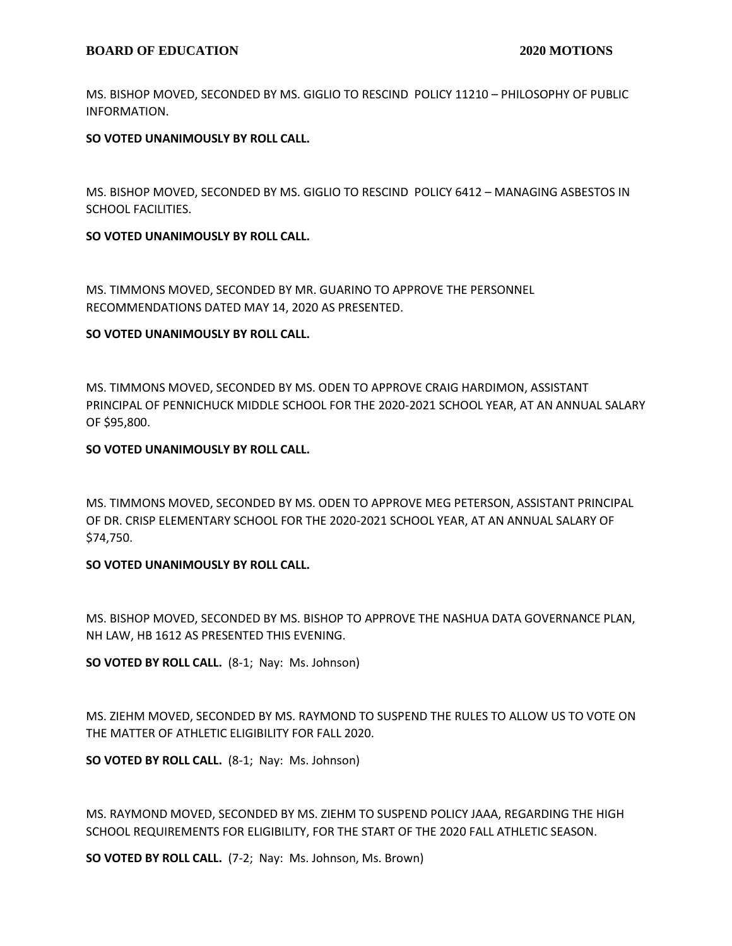# **BOARD OF EDUCATION 2020 MOTIONS**

MS. BISHOP MOVED, SECONDED BY MS. GIGLIO TO RESCIND POLICY 11210 – PHILOSOPHY OF PUBLIC INFORMATION.

# **SO VOTED UNANIMOUSLY BY ROLL CALL.**

MS. BISHOP MOVED, SECONDED BY MS. GIGLIO TO RESCIND POLICY 6412 – MANAGING ASBESTOS IN SCHOOL FACILITIES.

#### **SO VOTED UNANIMOUSLY BY ROLL CALL.**

MS. TIMMONS MOVED, SECONDED BY MR. GUARINO TO APPROVE THE PERSONNEL RECOMMENDATIONS DATED MAY 14, 2020 AS PRESENTED.

#### **SO VOTED UNANIMOUSLY BY ROLL CALL.**

MS. TIMMONS MOVED, SECONDED BY MS. ODEN TO APPROVE CRAIG HARDIMON, ASSISTANT PRINCIPAL OF PENNICHUCK MIDDLE SCHOOL FOR THE 2020-2021 SCHOOL YEAR, AT AN ANNUAL SALARY OF \$95,800.

# **SO VOTED UNANIMOUSLY BY ROLL CALL.**

MS. TIMMONS MOVED, SECONDED BY MS. ODEN TO APPROVE MEG PETERSON, ASSISTANT PRINCIPAL OF DR. CRISP ELEMENTARY SCHOOL FOR THE 2020-2021 SCHOOL YEAR, AT AN ANNUAL SALARY OF \$74,750.

# **SO VOTED UNANIMOUSLY BY ROLL CALL.**

MS. BISHOP MOVED, SECONDED BY MS. BISHOP TO APPROVE THE NASHUA DATA GOVERNANCE PLAN, NH LAW, HB 1612 AS PRESENTED THIS EVENING.

**SO VOTED BY ROLL CALL.** (8-1; Nay: Ms. Johnson)

MS. ZIEHM MOVED, SECONDED BY MS. RAYMOND TO SUSPEND THE RULES TO ALLOW US TO VOTE ON THE MATTER OF ATHLETIC ELIGIBILITY FOR FALL 2020.

**SO VOTED BY ROLL CALL.** (8-1; Nay: Ms. Johnson)

MS. RAYMOND MOVED, SECONDED BY MS. ZIEHM TO SUSPEND POLICY JAAA, REGARDING THE HIGH SCHOOL REQUIREMENTS FOR ELIGIBILITY, FOR THE START OF THE 2020 FALL ATHLETIC SEASON.

**SO VOTED BY ROLL CALL.** (7-2; Nay: Ms. Johnson, Ms. Brown)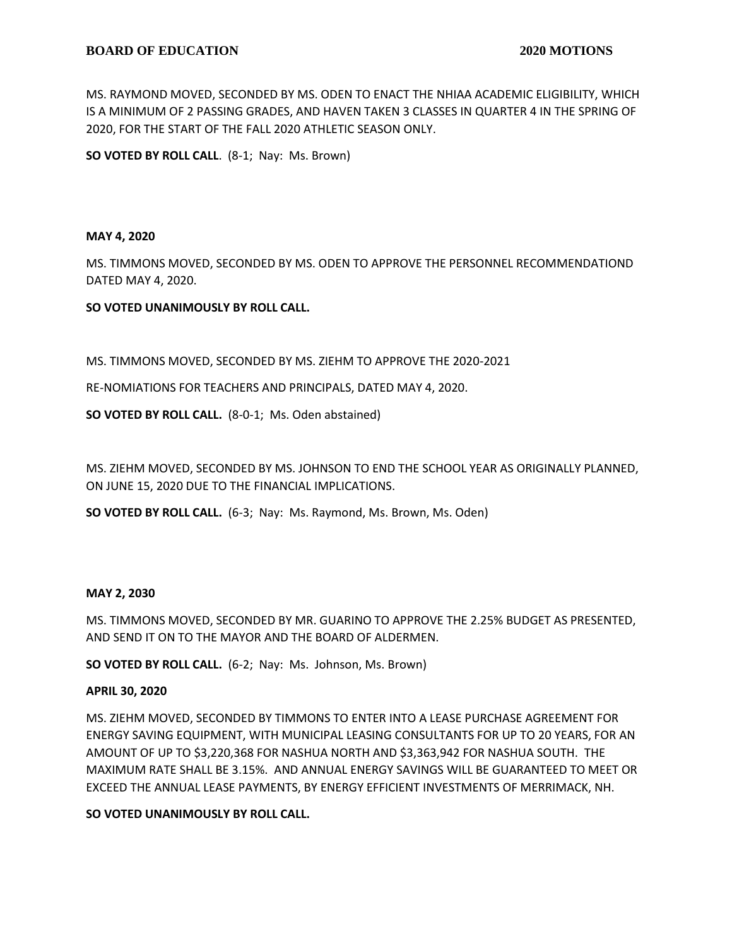MS. RAYMOND MOVED, SECONDED BY MS. ODEN TO ENACT THE NHIAA ACADEMIC ELIGIBILITY, WHICH IS A MINIMUM OF 2 PASSING GRADES, AND HAVEN TAKEN 3 CLASSES IN QUARTER 4 IN THE SPRING OF 2020, FOR THE START OF THE FALL 2020 ATHLETIC SEASON ONLY.

**SO VOTED BY ROLL CALL**. (8-1; Nay: Ms. Brown)

#### **MAY 4, 2020**

MS. TIMMONS MOVED, SECONDED BY MS. ODEN TO APPROVE THE PERSONNEL RECOMMENDATIOND DATED MAY 4, 2020.

# **SO VOTED UNANIMOUSLY BY ROLL CALL.**

MS. TIMMONS MOVED, SECONDED BY MS. ZIEHM TO APPROVE THE 2020-2021

RE-NOMIATIONS FOR TEACHERS AND PRINCIPALS, DATED MAY 4, 2020.

**SO VOTED BY ROLL CALL.** (8-0-1; Ms. Oden abstained)

MS. ZIEHM MOVED, SECONDED BY MS. JOHNSON TO END THE SCHOOL YEAR AS ORIGINALLY PLANNED, ON JUNE 15, 2020 DUE TO THE FINANCIAL IMPLICATIONS.

**SO VOTED BY ROLL CALL.** (6-3; Nay: Ms. Raymond, Ms. Brown, Ms. Oden)

#### **MAY 2, 2030**

MS. TIMMONS MOVED, SECONDED BY MR. GUARINO TO APPROVE THE 2.25% BUDGET AS PRESENTED, AND SEND IT ON TO THE MAYOR AND THE BOARD OF ALDERMEN.

**SO VOTED BY ROLL CALL.** (6-2; Nay: Ms. Johnson, Ms. Brown)

#### **APRIL 30, 2020**

MS. ZIEHM MOVED, SECONDED BY TIMMONS TO ENTER INTO A LEASE PURCHASE AGREEMENT FOR ENERGY SAVING EQUIPMENT, WITH MUNICIPAL LEASING CONSULTANTS FOR UP TO 20 YEARS, FOR AN AMOUNT OF UP TO \$3,220,368 FOR NASHUA NORTH AND \$3,363,942 FOR NASHUA SOUTH. THE MAXIMUM RATE SHALL BE 3.15%. AND ANNUAL ENERGY SAVINGS WILL BE GUARANTEED TO MEET OR EXCEED THE ANNUAL LEASE PAYMENTS, BY ENERGY EFFICIENT INVESTMENTS OF MERRIMACK, NH.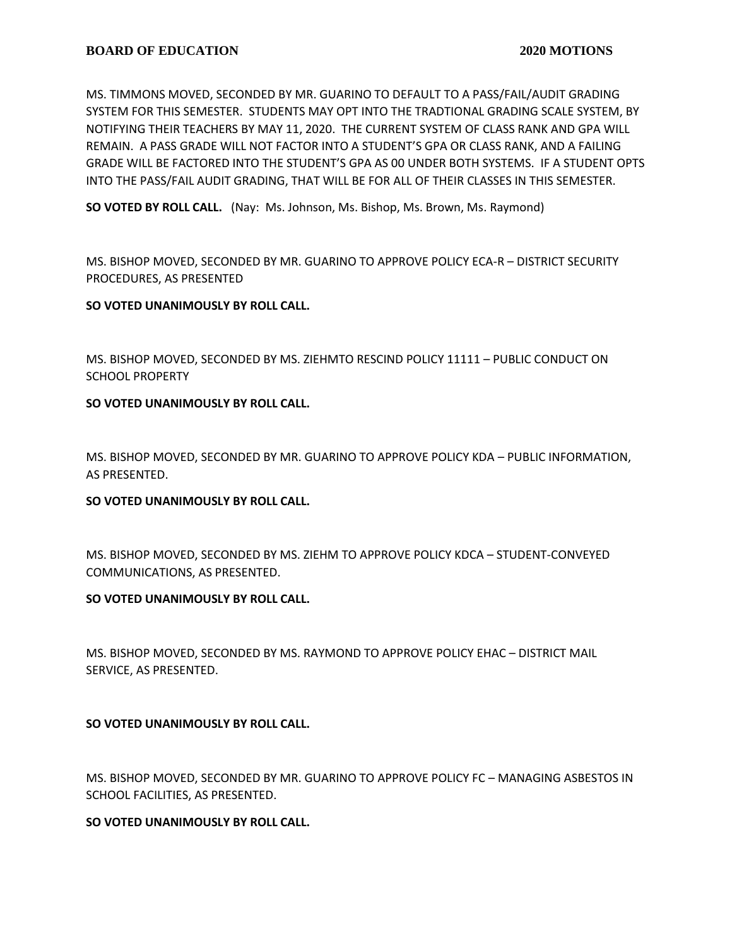MS. TIMMONS MOVED, SECONDED BY MR. GUARINO TO DEFAULT TO A PASS/FAIL/AUDIT GRADING SYSTEM FOR THIS SEMESTER. STUDENTS MAY OPT INTO THE TRADTIONAL GRADING SCALE SYSTEM, BY NOTIFYING THEIR TEACHERS BY MAY 11, 2020. THE CURRENT SYSTEM OF CLASS RANK AND GPA WILL REMAIN. A PASS GRADE WILL NOT FACTOR INTO A STUDENT'S GPA OR CLASS RANK, AND A FAILING GRADE WILL BE FACTORED INTO THE STUDENT'S GPA AS 00 UNDER BOTH SYSTEMS. IF A STUDENT OPTS INTO THE PASS/FAIL AUDIT GRADING, THAT WILL BE FOR ALL OF THEIR CLASSES IN THIS SEMESTER.

**SO VOTED BY ROLL CALL.** (Nay: Ms. Johnson, Ms. Bishop, Ms. Brown, Ms. Raymond)

MS. BISHOP MOVED, SECONDED BY MR. GUARINO TO APPROVE POLICY ECA-R – DISTRICT SECURITY PROCEDURES, AS PRESENTED

# **SO VOTED UNANIMOUSLY BY ROLL CALL.**

MS. BISHOP MOVED, SECONDED BY MS. ZIEHMTO RESCIND POLICY 11111 – PUBLIC CONDUCT ON SCHOOL PROPERTY

# **SO VOTED UNANIMOUSLY BY ROLL CALL.**

MS. BISHOP MOVED, SECONDED BY MR. GUARINO TO APPROVE POLICY KDA – PUBLIC INFORMATION, AS PRESENTED.

# **SO VOTED UNANIMOUSLY BY ROLL CALL.**

MS. BISHOP MOVED, SECONDED BY MS. ZIEHM TO APPROVE POLICY KDCA – STUDENT-CONVEYED COMMUNICATIONS, AS PRESENTED.

# **SO VOTED UNANIMOUSLY BY ROLL CALL.**

MS. BISHOP MOVED, SECONDED BY MS. RAYMOND TO APPROVE POLICY EHAC – DISTRICT MAIL SERVICE, AS PRESENTED.

# **SO VOTED UNANIMOUSLY BY ROLL CALL.**

MS. BISHOP MOVED, SECONDED BY MR. GUARINO TO APPROVE POLICY FC – MANAGING ASBESTOS IN SCHOOL FACILITIES, AS PRESENTED.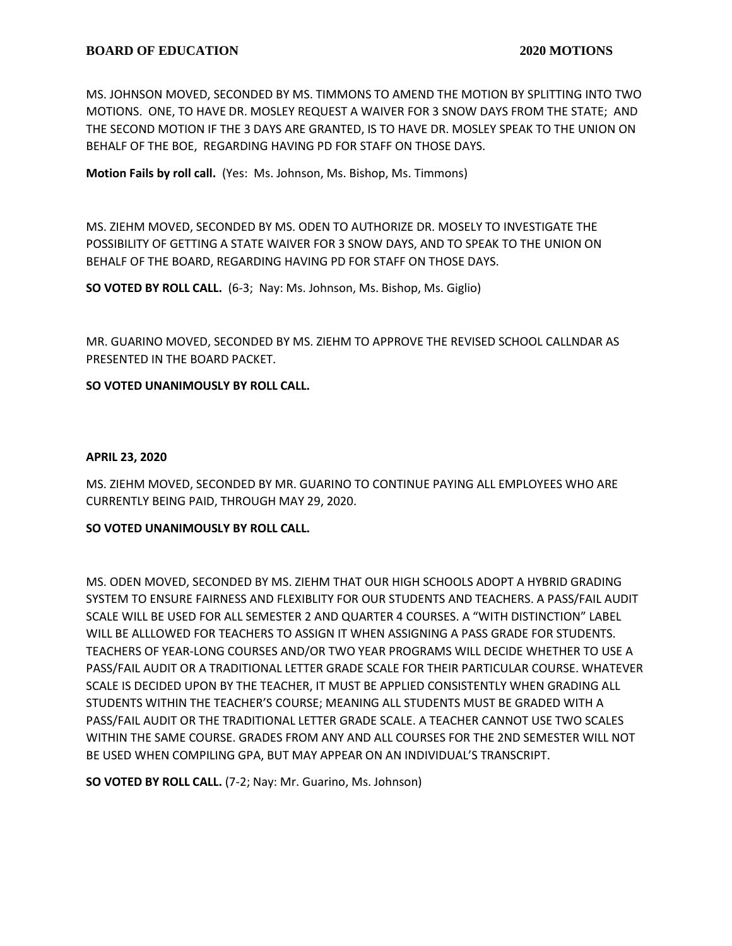MS. JOHNSON MOVED, SECONDED BY MS. TIMMONS TO AMEND THE MOTION BY SPLITTING INTO TWO MOTIONS. ONE, TO HAVE DR. MOSLEY REQUEST A WAIVER FOR 3 SNOW DAYS FROM THE STATE; AND THE SECOND MOTION IF THE 3 DAYS ARE GRANTED, IS TO HAVE DR. MOSLEY SPEAK TO THE UNION ON BEHALF OF THE BOE, REGARDING HAVING PD FOR STAFF ON THOSE DAYS.

**Motion Fails by roll call.** (Yes: Ms. Johnson, Ms. Bishop, Ms. Timmons)

MS. ZIEHM MOVED, SECONDED BY MS. ODEN TO AUTHORIZE DR. MOSELY TO INVESTIGATE THE POSSIBILITY OF GETTING A STATE WAIVER FOR 3 SNOW DAYS, AND TO SPEAK TO THE UNION ON BEHALF OF THE BOARD, REGARDING HAVING PD FOR STAFF ON THOSE DAYS.

**SO VOTED BY ROLL CALL.** (6-3; Nay: Ms. Johnson, Ms. Bishop, Ms. Giglio)

MR. GUARINO MOVED, SECONDED BY MS. ZIEHM TO APPROVE THE REVISED SCHOOL CALLNDAR AS PRESENTED IN THE BOARD PACKET.

**SO VOTED UNANIMOUSLY BY ROLL CALL.**

#### **APRIL 23, 2020**

MS. ZIEHM MOVED, SECONDED BY MR. GUARINO TO CONTINUE PAYING ALL EMPLOYEES WHO ARE CURRENTLY BEING PAID, THROUGH MAY 29, 2020.

# **SO VOTED UNANIMOUSLY BY ROLL CALL.**

MS. ODEN MOVED, SECONDED BY MS. ZIEHM THAT OUR HIGH SCHOOLS ADOPT A HYBRID GRADING SYSTEM TO ENSURE FAIRNESS AND FLEXIBLITY FOR OUR STUDENTS AND TEACHERS. A PASS/FAIL AUDIT SCALE WILL BE USED FOR ALL SEMESTER 2 AND QUARTER 4 COURSES. A "WITH DISTINCTION" LABEL WILL BE ALLLOWED FOR TEACHERS TO ASSIGN IT WHEN ASSIGNING A PASS GRADE FOR STUDENTS. TEACHERS OF YEAR-LONG COURSES AND/OR TWO YEAR PROGRAMS WILL DECIDE WHETHER TO USE A PASS/FAIL AUDIT OR A TRADITIONAL LETTER GRADE SCALE FOR THEIR PARTICULAR COURSE. WHATEVER SCALE IS DECIDED UPON BY THE TEACHER, IT MUST BE APPLIED CONSISTENTLY WHEN GRADING ALL STUDENTS WITHIN THE TEACHER'S COURSE; MEANING ALL STUDENTS MUST BE GRADED WITH A PASS/FAIL AUDIT OR THE TRADITIONAL LETTER GRADE SCALE. A TEACHER CANNOT USE TWO SCALES WITHIN THE SAME COURSE. GRADES FROM ANY AND ALL COURSES FOR THE 2ND SEMESTER WILL NOT BE USED WHEN COMPILING GPA, BUT MAY APPEAR ON AN INDIVIDUAL'S TRANSCRIPT.

**SO VOTED BY ROLL CALL.** (7-2; Nay: Mr. Guarino, Ms. Johnson)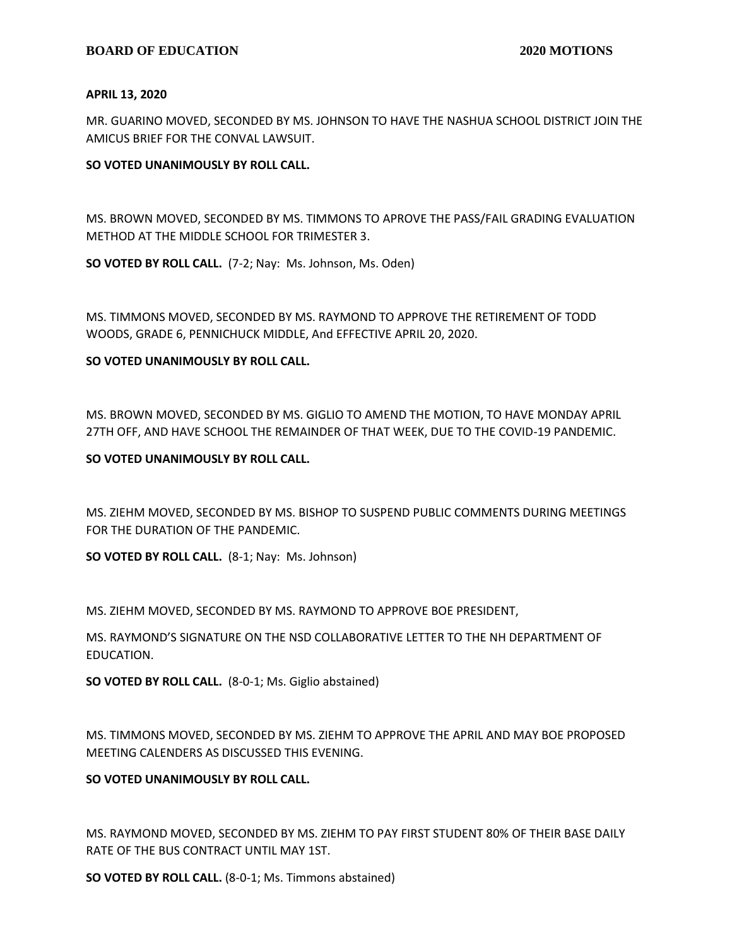#### **APRIL 13, 2020**

MR. GUARINO MOVED, SECONDED BY MS. JOHNSON TO HAVE THE NASHUA SCHOOL DISTRICT JOIN THE AMICUS BRIEF FOR THE CONVAL LAWSUIT.

#### **SO VOTED UNANIMOUSLY BY ROLL CALL.**

MS. BROWN MOVED, SECONDED BY MS. TIMMONS TO APROVE THE PASS/FAIL GRADING EVALUATION METHOD AT THE MIDDLE SCHOOL FOR TRIMESTER 3.

**SO VOTED BY ROLL CALL.** (7-2; Nay: Ms. Johnson, Ms. Oden)

MS. TIMMONS MOVED, SECONDED BY MS. RAYMOND TO APPROVE THE RETIREMENT OF TODD WOODS, GRADE 6, PENNICHUCK MIDDLE, And EFFECTIVE APRIL 20, 2020.

# **SO VOTED UNANIMOUSLY BY ROLL CALL.**

MS. BROWN MOVED, SECONDED BY MS. GIGLIO TO AMEND THE MOTION, TO HAVE MONDAY APRIL 27TH OFF, AND HAVE SCHOOL THE REMAINDER OF THAT WEEK, DUE TO THE COVID-19 PANDEMIC.

#### **SO VOTED UNANIMOUSLY BY ROLL CALL.**

MS. ZIEHM MOVED, SECONDED BY MS. BISHOP TO SUSPEND PUBLIC COMMENTS DURING MEETINGS FOR THE DURATION OF THE PANDEMIC.

**SO VOTED BY ROLL CALL.** (8-1; Nay: Ms. Johnson)

MS. ZIEHM MOVED, SECONDED BY MS. RAYMOND TO APPROVE BOE PRESIDENT,

MS. RAYMOND'S SIGNATURE ON THE NSD COLLABORATIVE LETTER TO THE NH DEPARTMENT OF EDUCATION.

**SO VOTED BY ROLL CALL.** (8-0-1; Ms. Giglio abstained)

MS. TIMMONS MOVED, SECONDED BY MS. ZIEHM TO APPROVE THE APRIL AND MAY BOE PROPOSED MEETING CALENDERS AS DISCUSSED THIS EVENING.

# **SO VOTED UNANIMOUSLY BY ROLL CALL.**

MS. RAYMOND MOVED, SECONDED BY MS. ZIEHM TO PAY FIRST STUDENT 80% OF THEIR BASE DAILY RATE OF THE BUS CONTRACT UNTIL MAY 1ST.

**SO VOTED BY ROLL CALL.** (8-0-1; Ms. Timmons abstained)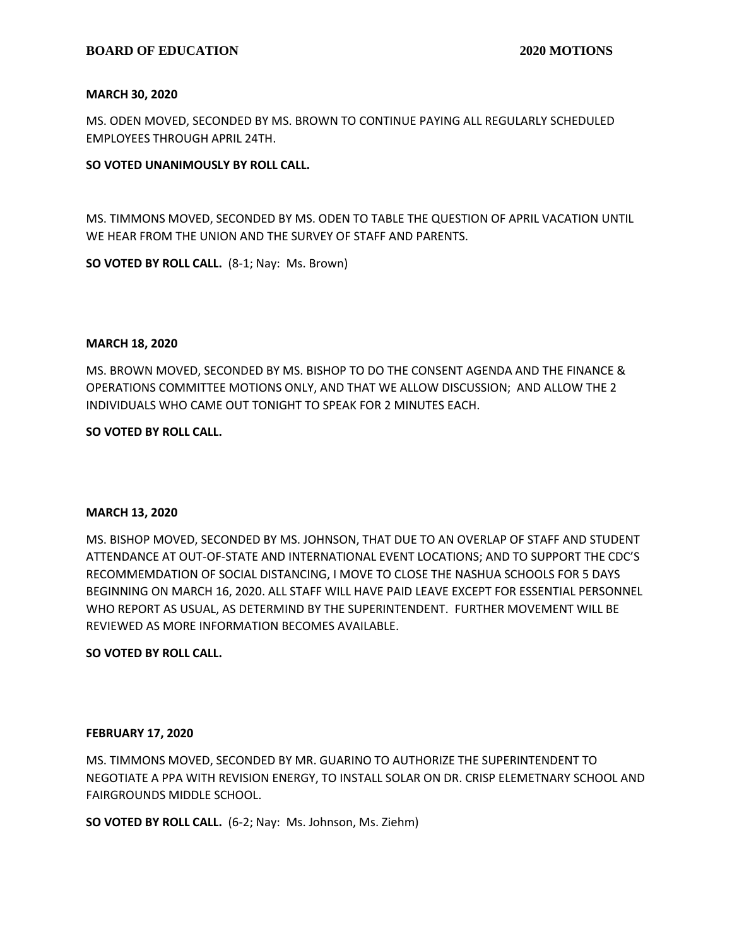#### **MARCH 30, 2020**

MS. ODEN MOVED, SECONDED BY MS. BROWN TO CONTINUE PAYING ALL REGULARLY SCHEDULED EMPLOYEES THROUGH APRIL 24TH.

#### **SO VOTED UNANIMOUSLY BY ROLL CALL.**

MS. TIMMONS MOVED, SECONDED BY MS. ODEN TO TABLE THE QUESTION OF APRIL VACATION UNTIL WE HEAR FROM THE UNION AND THE SURVEY OF STAFF AND PARENTS.

**SO VOTED BY ROLL CALL.** (8-1; Nay: Ms. Brown)

#### **MARCH 18, 2020**

MS. BROWN MOVED, SECONDED BY MS. BISHOP TO DO THE CONSENT AGENDA AND THE FINANCE & OPERATIONS COMMITTEE MOTIONS ONLY, AND THAT WE ALLOW DISCUSSION; AND ALLOW THE 2 INDIVIDUALS WHO CAME OUT TONIGHT TO SPEAK FOR 2 MINUTES EACH.

#### **SO VOTED BY ROLL CALL.**

#### **MARCH 13, 2020**

MS. BISHOP MOVED, SECONDED BY MS. JOHNSON, THAT DUE TO AN OVERLAP OF STAFF AND STUDENT ATTENDANCE AT OUT-OF-STATE AND INTERNATIONAL EVENT LOCATIONS; AND TO SUPPORT THE CDC'S RECOMMEMDATION OF SOCIAL DISTANCING, I MOVE TO CLOSE THE NASHUA SCHOOLS FOR 5 DAYS BEGINNING ON MARCH 16, 2020. ALL STAFF WILL HAVE PAID LEAVE EXCEPT FOR ESSENTIAL PERSONNEL WHO REPORT AS USUAL, AS DETERMIND BY THE SUPERINTENDENT. FURTHER MOVEMENT WILL BE REVIEWED AS MORE INFORMATION BECOMES AVAILABLE.

# **SO VOTED BY ROLL CALL.**

#### **FEBRUARY 17, 2020**

MS. TIMMONS MOVED, SECONDED BY MR. GUARINO TO AUTHORIZE THE SUPERINTENDENT TO NEGOTIATE A PPA WITH REVISION ENERGY, TO INSTALL SOLAR ON DR. CRISP ELEMETNARY SCHOOL AND FAIRGROUNDS MIDDLE SCHOOL.

**SO VOTED BY ROLL CALL.** (6-2; Nay: Ms. Johnson, Ms. Ziehm)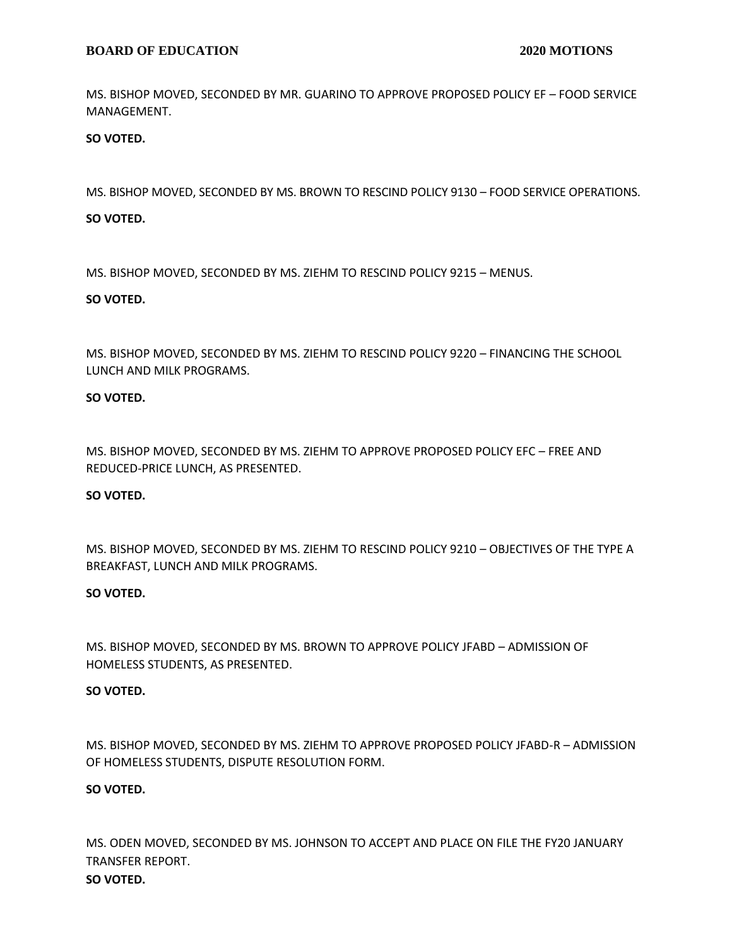MS. BISHOP MOVED, SECONDED BY MR. GUARINO TO APPROVE PROPOSED POLICY EF – FOOD SERVICE MANAGEMENT.

**SO VOTED.**

MS. BISHOP MOVED, SECONDED BY MS. BROWN TO RESCIND POLICY 9130 – FOOD SERVICE OPERATIONS.

# **SO VOTED.**

MS. BISHOP MOVED, SECONDED BY MS. ZIEHM TO RESCIND POLICY 9215 – MENUS.

# **SO VOTED.**

MS. BISHOP MOVED, SECONDED BY MS. ZIEHM TO RESCIND POLICY 9220 – FINANCING THE SCHOOL LUNCH AND MILK PROGRAMS.

# **SO VOTED.**

MS. BISHOP MOVED, SECONDED BY MS. ZIEHM TO APPROVE PROPOSED POLICY EFC – FREE AND REDUCED-PRICE LUNCH, AS PRESENTED.

# **SO VOTED.**

MS. BISHOP MOVED, SECONDED BY MS. ZIEHM TO RESCIND POLICY 9210 – OBJECTIVES OF THE TYPE A BREAKFAST, LUNCH AND MILK PROGRAMS.

# **SO VOTED.**

MS. BISHOP MOVED, SECONDED BY MS. BROWN TO APPROVE POLICY JFABD – ADMISSION OF HOMELESS STUDENTS, AS PRESENTED.

# **SO VOTED.**

MS. BISHOP MOVED, SECONDED BY MS. ZIEHM TO APPROVE PROPOSED POLICY JFABD-R – ADMISSION OF HOMELESS STUDENTS, DISPUTE RESOLUTION FORM.

# **SO VOTED.**

MS. ODEN MOVED, SECONDED BY MS. JOHNSON TO ACCEPT AND PLACE ON FILE THE FY20 JANUARY TRANSFER REPORT. **SO VOTED.**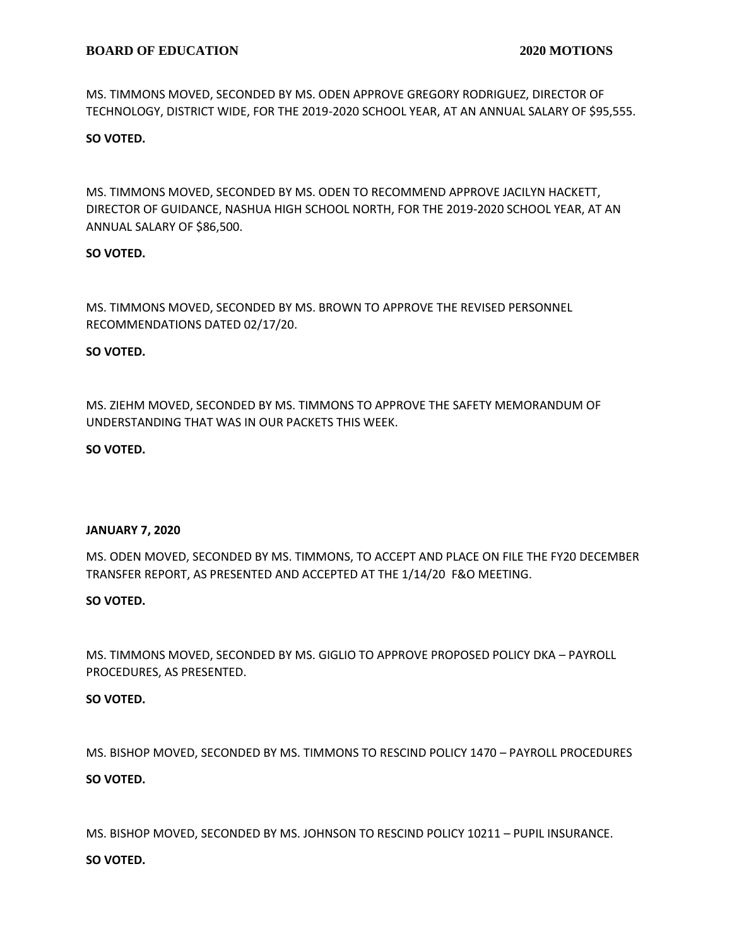MS. TIMMONS MOVED, SECONDED BY MS. ODEN APPROVE GREGORY RODRIGUEZ, DIRECTOR OF TECHNOLOGY, DISTRICT WIDE, FOR THE 2019-2020 SCHOOL YEAR, AT AN ANNUAL SALARY OF \$95,555.

# **SO VOTED.**

MS. TIMMONS MOVED, SECONDED BY MS. ODEN TO RECOMMEND APPROVE JACILYN HACKETT, DIRECTOR OF GUIDANCE, NASHUA HIGH SCHOOL NORTH, FOR THE 2019-2020 SCHOOL YEAR, AT AN ANNUAL SALARY OF \$86,500.

# **SO VOTED.**

MS. TIMMONS MOVED, SECONDED BY MS. BROWN TO APPROVE THE REVISED PERSONNEL RECOMMENDATIONS DATED 02/17/20.

# **SO VOTED.**

MS. ZIEHM MOVED, SECONDED BY MS. TIMMONS TO APPROVE THE SAFETY MEMORANDUM OF UNDERSTANDING THAT WAS IN OUR PACKETS THIS WEEK.

# **SO VOTED.**

# **JANUARY 7, 2020**

MS. ODEN MOVED, SECONDED BY MS. TIMMONS, TO ACCEPT AND PLACE ON FILE THE FY20 DECEMBER TRANSFER REPORT, AS PRESENTED AND ACCEPTED AT THE 1/14/20 F&O MEETING.

# **SO VOTED.**

MS. TIMMONS MOVED, SECONDED BY MS. GIGLIO TO APPROVE PROPOSED POLICY DKA – PAYROLL PROCEDURES, AS PRESENTED.

# **SO VOTED.**

MS. BISHOP MOVED, SECONDED BY MS. TIMMONS TO RESCIND POLICY 1470 – PAYROLL PROCEDURES **SO VOTED.**

MS. BISHOP MOVED, SECONDED BY MS. JOHNSON TO RESCIND POLICY 10211 – PUPIL INSURANCE.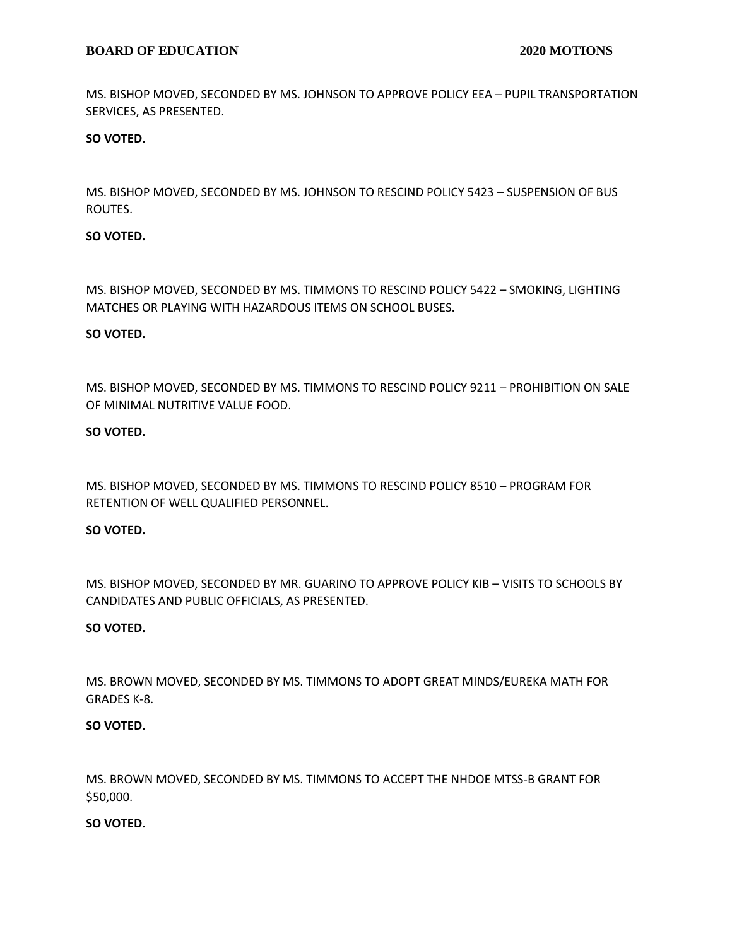MS. BISHOP MOVED, SECONDED BY MS. JOHNSON TO APPROVE POLICY EEA – PUPIL TRANSPORTATION SERVICES, AS PRESENTED.

# **SO VOTED.**

MS. BISHOP MOVED, SECONDED BY MS. JOHNSON TO RESCIND POLICY 5423 – SUSPENSION OF BUS ROUTES.

#### **SO VOTED.**

MS. BISHOP MOVED, SECONDED BY MS. TIMMONS TO RESCIND POLICY 5422 – SMOKING, LIGHTING MATCHES OR PLAYING WITH HAZARDOUS ITEMS ON SCHOOL BUSES.

#### **SO VOTED.**

MS. BISHOP MOVED, SECONDED BY MS. TIMMONS TO RESCIND POLICY 9211 – PROHIBITION ON SALE OF MINIMAL NUTRITIVE VALUE FOOD.

#### **SO VOTED.**

MS. BISHOP MOVED, SECONDED BY MS. TIMMONS TO RESCIND POLICY 8510 – PROGRAM FOR RETENTION OF WELL QUALIFIED PERSONNEL.

#### **SO VOTED.**

MS. BISHOP MOVED, SECONDED BY MR. GUARINO TO APPROVE POLICY KIB – VISITS TO SCHOOLS BY CANDIDATES AND PUBLIC OFFICIALS, AS PRESENTED.

#### **SO VOTED.**

MS. BROWN MOVED, SECONDED BY MS. TIMMONS TO ADOPT GREAT MINDS/EUREKA MATH FOR GRADES K-8.

#### **SO VOTED.**

MS. BROWN MOVED, SECONDED BY MS. TIMMONS TO ACCEPT THE NHDOE MTSS-B GRANT FOR \$50,000.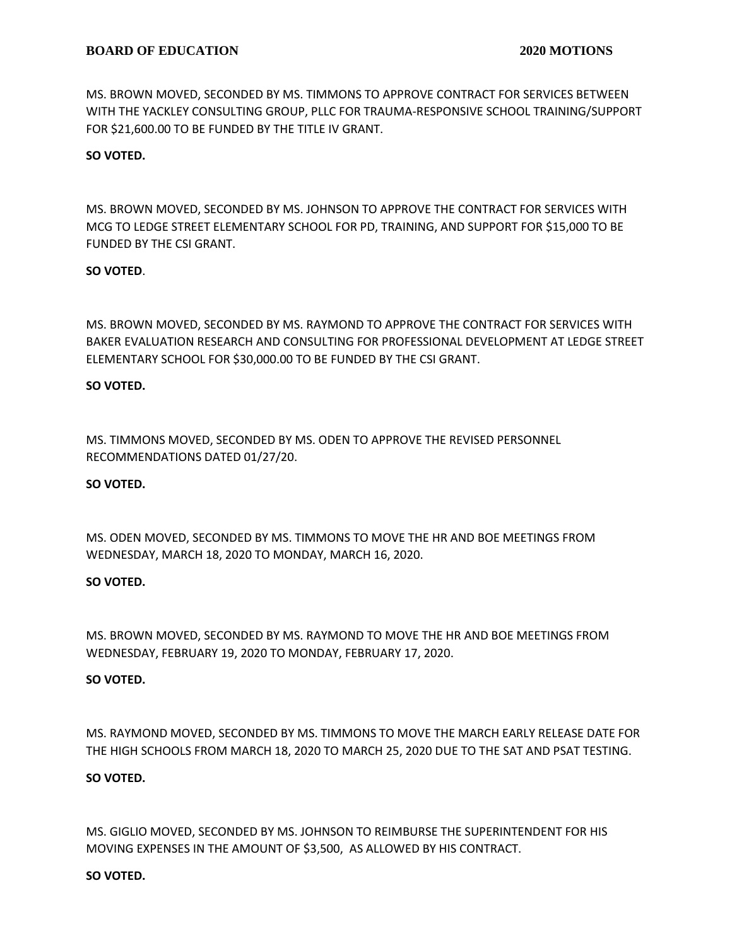MS. BROWN MOVED, SECONDED BY MS. TIMMONS TO APPROVE CONTRACT FOR SERVICES BETWEEN WITH THE YACKLEY CONSULTING GROUP, PLLC FOR TRAUMA-RESPONSIVE SCHOOL TRAINING/SUPPORT FOR \$21,600.00 TO BE FUNDED BY THE TITLE IV GRANT.

#### **SO VOTED.**

MS. BROWN MOVED, SECONDED BY MS. JOHNSON TO APPROVE THE CONTRACT FOR SERVICES WITH MCG TO LEDGE STREET ELEMENTARY SCHOOL FOR PD, TRAINING, AND SUPPORT FOR \$15,000 TO BE FUNDED BY THE CSI GRANT.

#### **SO VOTED**.

MS. BROWN MOVED, SECONDED BY MS. RAYMOND TO APPROVE THE CONTRACT FOR SERVICES WITH BAKER EVALUATION RESEARCH AND CONSULTING FOR PROFESSIONAL DEVELOPMENT AT LEDGE STREET ELEMENTARY SCHOOL FOR \$30,000.00 TO BE FUNDED BY THE CSI GRANT.

#### **SO VOTED.**

MS. TIMMONS MOVED, SECONDED BY MS. ODEN TO APPROVE THE REVISED PERSONNEL RECOMMENDATIONS DATED 01/27/20.

#### **SO VOTED.**

MS. ODEN MOVED, SECONDED BY MS. TIMMONS TO MOVE THE HR AND BOE MEETINGS FROM WEDNESDAY, MARCH 18, 2020 TO MONDAY, MARCH 16, 2020.

#### **SO VOTED.**

MS. BROWN MOVED, SECONDED BY MS. RAYMOND TO MOVE THE HR AND BOE MEETINGS FROM WEDNESDAY, FEBRUARY 19, 2020 TO MONDAY, FEBRUARY 17, 2020.

#### **SO VOTED.**

MS. RAYMOND MOVED, SECONDED BY MS. TIMMONS TO MOVE THE MARCH EARLY RELEASE DATE FOR THE HIGH SCHOOLS FROM MARCH 18, 2020 TO MARCH 25, 2020 DUE TO THE SAT AND PSAT TESTING.

#### **SO VOTED.**

MS. GIGLIO MOVED, SECONDED BY MS. JOHNSON TO REIMBURSE THE SUPERINTENDENT FOR HIS MOVING EXPENSES IN THE AMOUNT OF \$3,500, AS ALLOWED BY HIS CONTRACT.